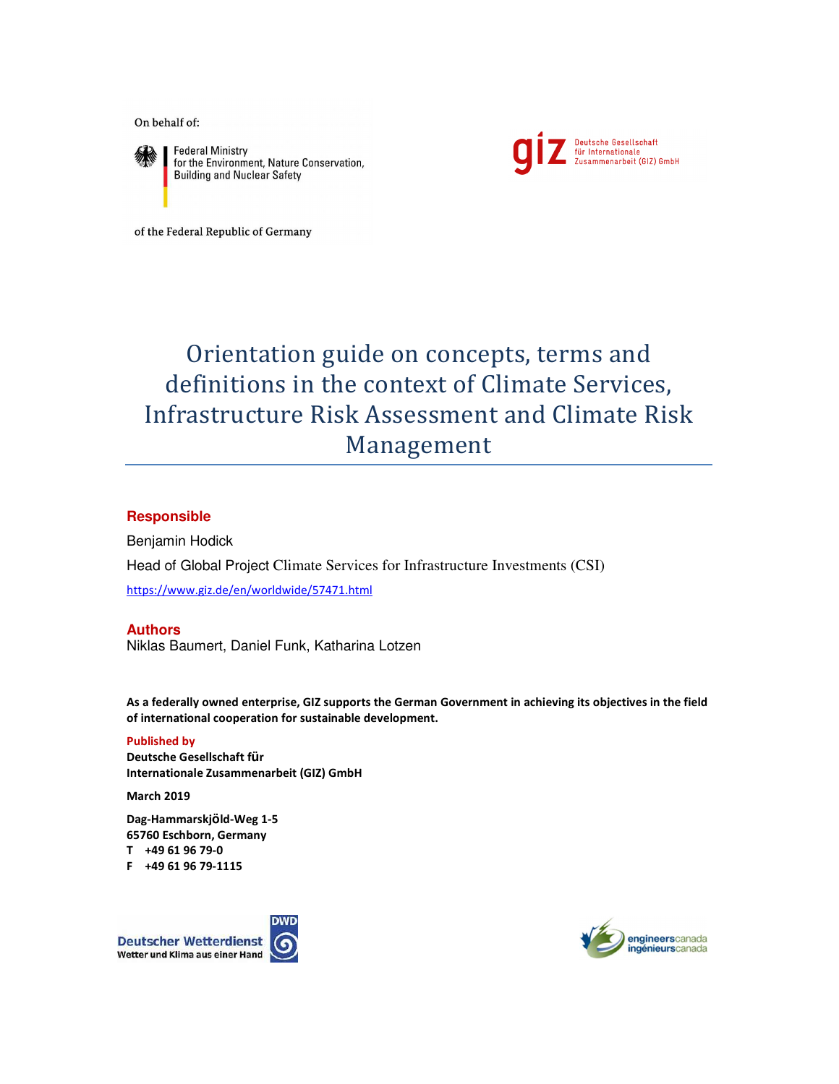On behalf of:



**Federal Ministry** for the Environment, Nature Conservation, **Building and Nuclear Safety** 



of the Federal Republic of Germany

# Orientation guide on concepts, terms and definitions in the context of Climate Services, Infrastructure Risk Assessment and Climate Risk Management

### **Responsible**

Benjamin Hodick Head of Global Project Climate Services for Infrastructure Investments (CSI) https://www.giz.de/en/worldwide/57471.html

### **Authors**

Niklas Baumert, Daniel Funk, Katharina Lotzen

**As a federally owned enterprise, GIZ supports the German Government in achieving its objectives in the field of international cooperation for sustainable development.**

**Published by Deutsche Gesellschaft für Internationale Zusammenarbeit (GIZ) GmbH** 

**March 2019**

**Dag-Hammarskjöld-Weg 1-5 65760 Eschborn, Germany T +49 61 96 79-0 F +49 61 96 79-1115**



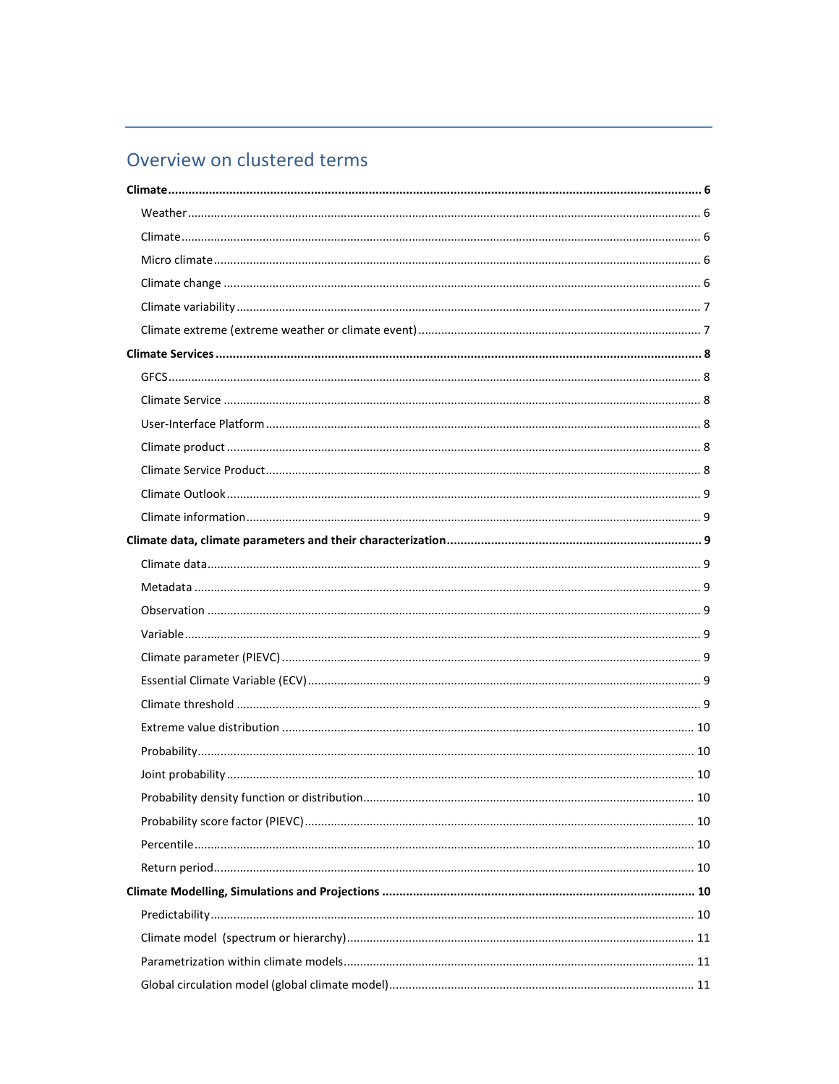## Overview on clustered terms

<u> 1989 - Johann Stein, marwolaethau a bhann an t-Amhain an t-Amhain an t-Amhain an t-Amhain an t-Amhain an t-A</u>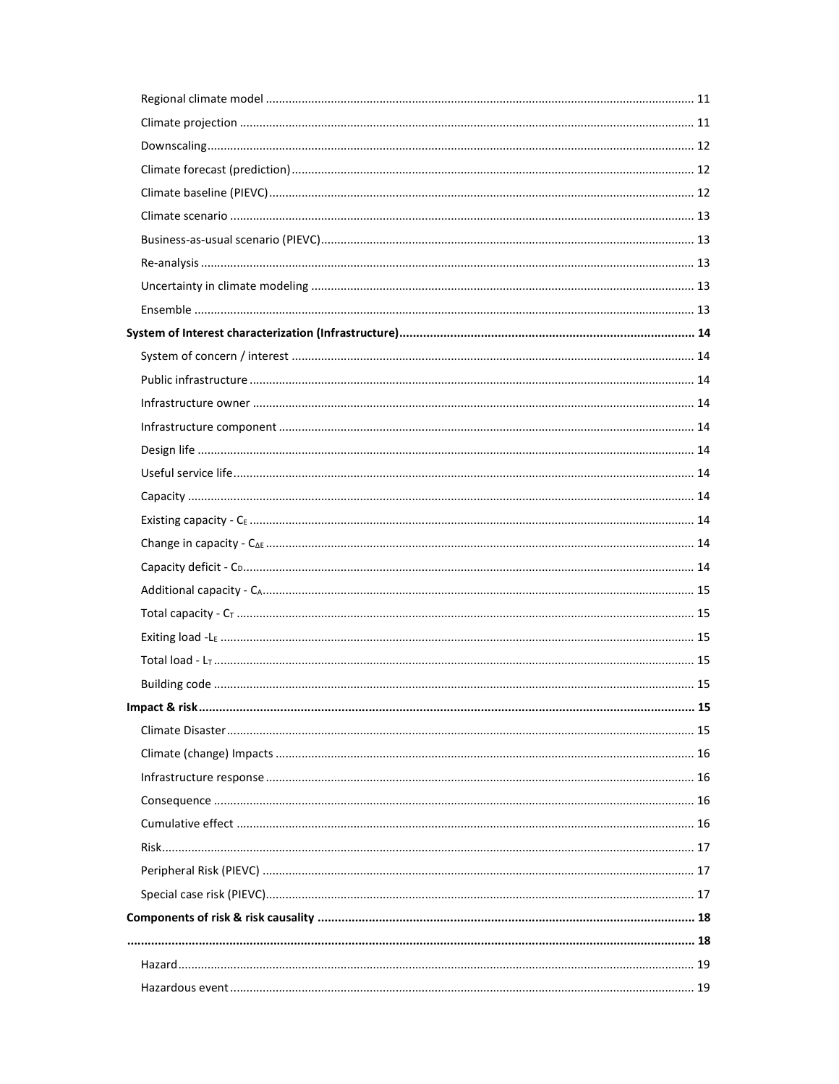| 15 |
|----|
|    |
|    |
|    |
|    |
|    |
|    |
|    |
|    |
|    |
|    |
|    |
|    |
|    |
|    |
|    |
|    |
|    |
|    |
|    |
|    |
|    |
|    |
|    |
|    |
|    |
|    |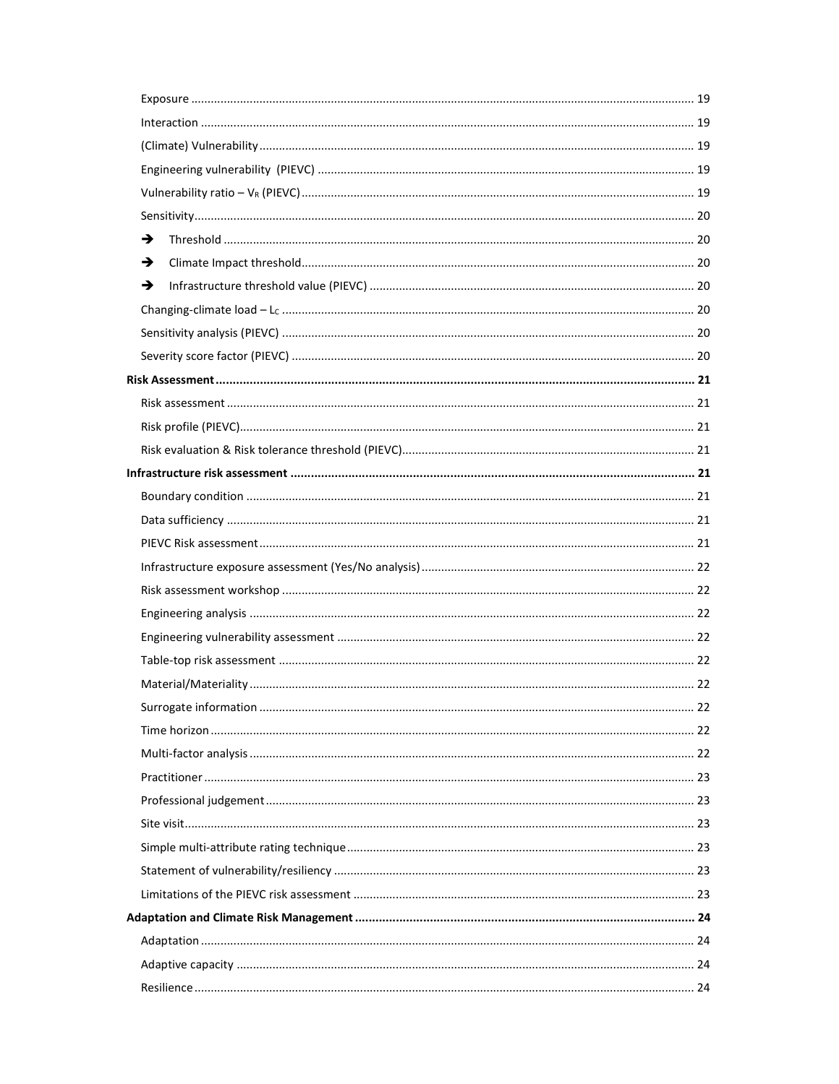| → |  |
|---|--|
| → |  |
| → |  |
|   |  |
|   |  |
|   |  |
|   |  |
|   |  |
|   |  |
|   |  |
|   |  |
|   |  |
|   |  |
|   |  |
|   |  |
|   |  |
|   |  |
|   |  |
|   |  |
|   |  |
|   |  |
|   |  |
|   |  |
|   |  |
|   |  |
|   |  |
|   |  |
|   |  |
|   |  |
|   |  |
|   |  |
|   |  |
|   |  |
|   |  |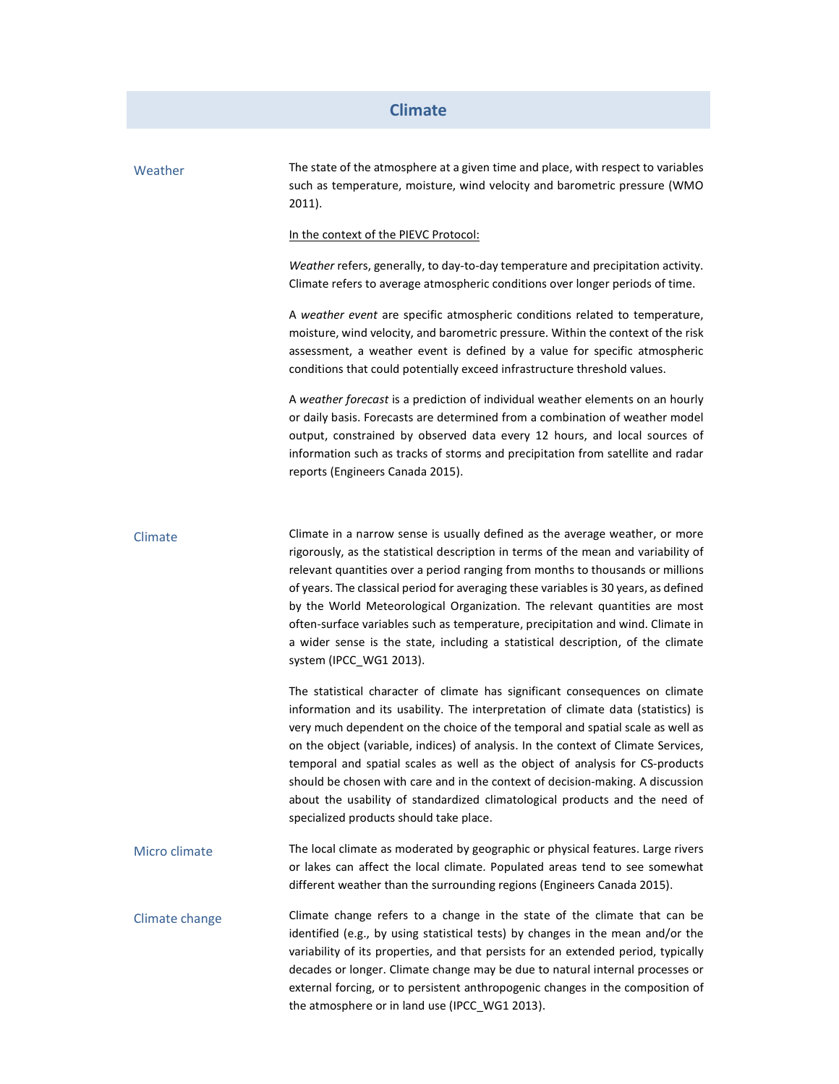### **Climate**

| Weather        | The state of the atmosphere at a given time and place, with respect to variables<br>such as temperature, moisture, wind velocity and barometric pressure (WMO<br>2011).                                                                                                                                                                                                                                                                                                                                                                                                                                                                |
|----------------|----------------------------------------------------------------------------------------------------------------------------------------------------------------------------------------------------------------------------------------------------------------------------------------------------------------------------------------------------------------------------------------------------------------------------------------------------------------------------------------------------------------------------------------------------------------------------------------------------------------------------------------|
|                | In the context of the PIEVC Protocol:                                                                                                                                                                                                                                                                                                                                                                                                                                                                                                                                                                                                  |
|                | Weather refers, generally, to day-to-day temperature and precipitation activity.<br>Climate refers to average atmospheric conditions over longer periods of time.                                                                                                                                                                                                                                                                                                                                                                                                                                                                      |
|                | A weather event are specific atmospheric conditions related to temperature,<br>moisture, wind velocity, and barometric pressure. Within the context of the risk<br>assessment, a weather event is defined by a value for specific atmospheric<br>conditions that could potentially exceed infrastructure threshold values.                                                                                                                                                                                                                                                                                                             |
|                | A weather forecast is a prediction of individual weather elements on an hourly<br>or daily basis. Forecasts are determined from a combination of weather model<br>output, constrained by observed data every 12 hours, and local sources of<br>information such as tracks of storms and precipitation from satellite and radar<br>reports (Engineers Canada 2015).                                                                                                                                                                                                                                                                     |
| Climate        | Climate in a narrow sense is usually defined as the average weather, or more<br>rigorously, as the statistical description in terms of the mean and variability of<br>relevant quantities over a period ranging from months to thousands or millions<br>of years. The classical period for averaging these variables is 30 years, as defined<br>by the World Meteorological Organization. The relevant quantities are most<br>often-surface variables such as temperature, precipitation and wind. Climate in<br>a wider sense is the state, including a statistical description, of the climate<br>system (IPCC WG1 2013).            |
|                | The statistical character of climate has significant consequences on climate<br>information and its usability. The interpretation of climate data (statistics) is<br>very much dependent on the choice of the temporal and spatial scale as well as<br>on the object (variable, indices) of analysis. In the context of Climate Services,<br>temporal and spatial scales as well as the object of analysis for CS-products<br>should be chosen with care and in the context of decision-making. A discussion<br>about the usability of standardized climatological products and the need of<br>specialized products should take place. |
| Micro climate  | The local climate as moderated by geographic or physical features. Large rivers<br>or lakes can affect the local climate. Populated areas tend to see somewhat<br>different weather than the surrounding regions (Engineers Canada 2015).                                                                                                                                                                                                                                                                                                                                                                                              |
| Climate change | Climate change refers to a change in the state of the climate that can be<br>identified (e.g., by using statistical tests) by changes in the mean and/or the<br>variability of its properties, and that persists for an extended period, typically<br>decades or longer. Climate change may be due to natural internal processes or<br>external forcing, or to persistent anthropogenic changes in the composition of<br>the atmosphere or in land use (IPCC_WG1 2013).                                                                                                                                                                |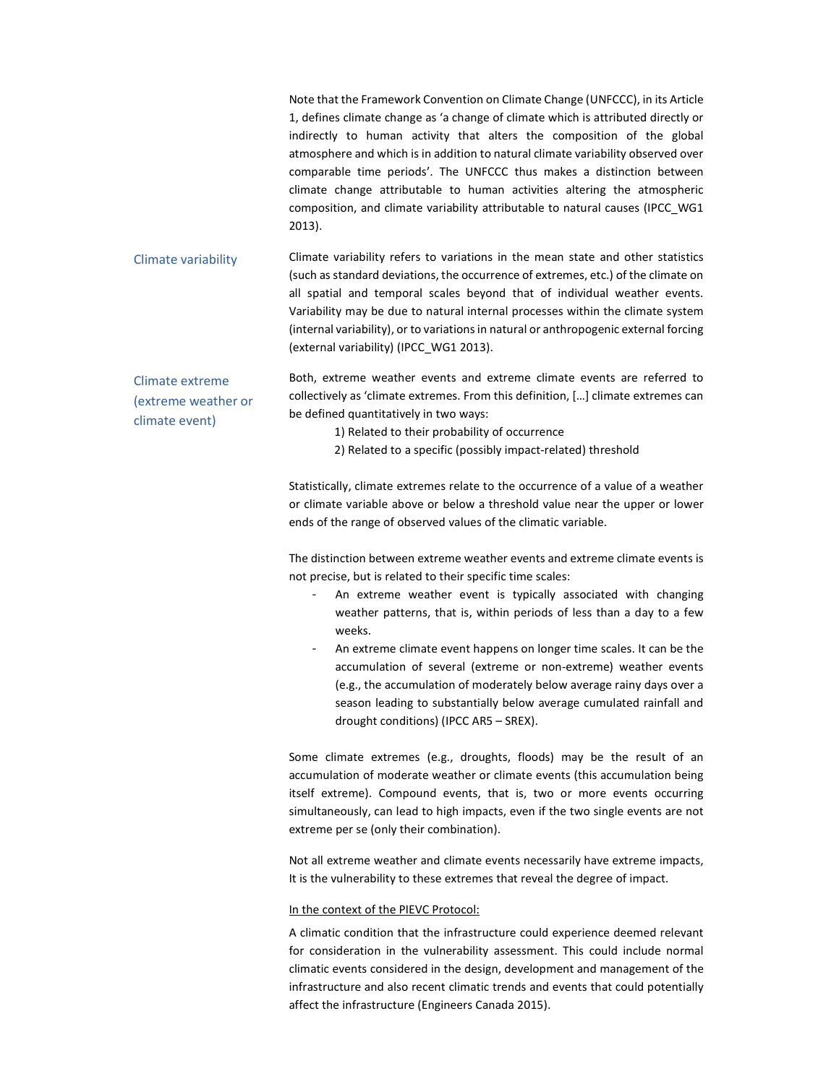|                                                          | Note that the Framework Convention on Climate Change (UNFCCC), in its Article<br>1, defines climate change as 'a change of climate which is attributed directly or<br>indirectly to human activity that alters the composition of the global<br>atmosphere and which is in addition to natural climate variability observed over<br>comparable time periods'. The UNFCCC thus makes a distinction between<br>climate change attributable to human activities altering the atmospheric<br>composition, and climate variability attributable to natural causes (IPCC WG1<br>$2013$ ). |
|----------------------------------------------------------|-------------------------------------------------------------------------------------------------------------------------------------------------------------------------------------------------------------------------------------------------------------------------------------------------------------------------------------------------------------------------------------------------------------------------------------------------------------------------------------------------------------------------------------------------------------------------------------|
| Climate variability                                      | Climate variability refers to variations in the mean state and other statistics<br>(such as standard deviations, the occurrence of extremes, etc.) of the climate on<br>all spatial and temporal scales beyond that of individual weather events.<br>Variability may be due to natural internal processes within the climate system<br>(internal variability), or to variations in natural or anthropogenic external forcing<br>(external variability) (IPCC WG1 2013).                                                                                                             |
| Climate extreme<br>(extreme weather or<br>climate event) | Both, extreme weather events and extreme climate events are referred to<br>collectively as 'climate extremes. From this definition, [] climate extremes can<br>be defined quantitatively in two ways:<br>1) Related to their probability of occurrence                                                                                                                                                                                                                                                                                                                              |

2) Related to a specific (possibly impact-related) threshold

Statistically, climate extremes relate to the occurrence of a value of a weather or climate variable above or below a threshold value near the upper or lower ends of the range of observed values of the climatic variable.

The distinction between extreme weather events and extreme climate events is not precise, but is related to their specific time scales:

- An extreme weather event is typically associated with changing weather patterns, that is, within periods of less than a day to a few weeks.
- An extreme climate event happens on longer time scales. It can be the accumulation of several (extreme or non-extreme) weather events (e.g., the accumulation of moderately below average rainy days over a season leading to substantially below average cumulated rainfall and drought conditions) (IPCC AR5 – SREX).

Some climate extremes (e.g., droughts, floods) may be the result of an accumulation of moderate weather or climate events (this accumulation being itself extreme). Compound events, that is, two or more events occurring simultaneously, can lead to high impacts, even if the two single events are not extreme per se (only their combination).

Not all extreme weather and climate events necessarily have extreme impacts, It is the vulnerability to these extremes that reveal the degree of impact.

### In the context of the PIEVC Protocol:

A climatic condition that the infrastructure could experience deemed relevant for consideration in the vulnerability assessment. This could include normal climatic events considered in the design, development and management of the infrastructure and also recent climatic trends and events that could potentially affect the infrastructure (Engineers Canada 2015).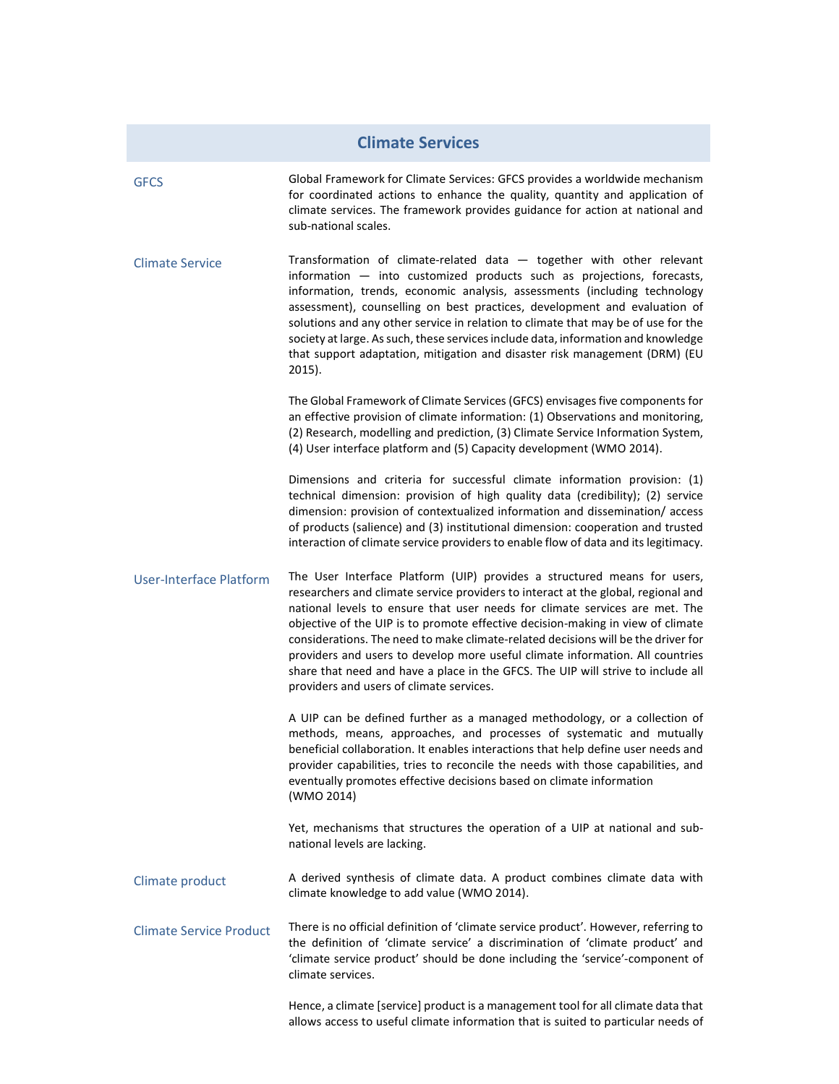### **Climate Services**

- GFCS Global Framework for Climate Services: GFCS provides a worldwide mechanism for coordinated actions to enhance the quality, quantity and application of climate services. The framework provides guidance for action at national and sub-national scales.
- Climate Service Transformation of climate-related data together with other relevant information — into customized products such as projections, forecasts, information, trends, economic analysis, assessments (including technology assessment), counselling on best practices, development and evaluation of solutions and any other service in relation to climate that may be of use for the society at large. As such, these services include data, information and knowledge that support adaptation, mitigation and disaster risk management (DRM) (EU 2015).

The Global Framework of Climate Services (GFCS) envisages five components for an effective provision of climate information: (1) Observations and monitoring, (2) Research, modelling and prediction, (3) Climate Service Information System, (4) User interface platform and (5) Capacity development (WMO 2014).

Dimensions and criteria for successful climate information provision: (1) technical dimension: provision of high quality data (credibility); (2) service dimension: provision of contextualized information and dissemination/ access of products (salience) and (3) institutional dimension: cooperation and trusted interaction of climate service providers to enable flow of data and its legitimacy.

User-Interface Platform The User Interface Platform (UIP) provides a structured means for users, researchers and climate service providers to interact at the global, regional and national levels to ensure that user needs for climate services are met. The objective of the UIP is to promote effective decision-making in view of climate considerations. The need to make climate-related decisions will be the driver for providers and users to develop more useful climate information. All countries share that need and have a place in the GFCS. The UIP will strive to include all providers and users of climate services.

> A UIP can be defined further as a managed methodology, or a collection of methods, means, approaches, and processes of systematic and mutually beneficial collaboration. It enables interactions that help define user needs and provider capabilities, tries to reconcile the needs with those capabilities, and eventually promotes effective decisions based on climate information (WMO 2014)

> Yet, mechanisms that structures the operation of a UIP at national and subnational levels are lacking.

- Climate product A derived synthesis of climate data. A product combines climate data with climate knowledge to add value (WMO 2014).
- Climate Service Product There is no official definition of 'climate service product'. However, referring to the definition of 'climate service' a discrimination of 'climate product' and 'climate service product' should be done including the 'service'-component of climate services.

Hence, a climate [service] product is a management tool for all climate data that allows access to useful climate information that is suited to particular needs of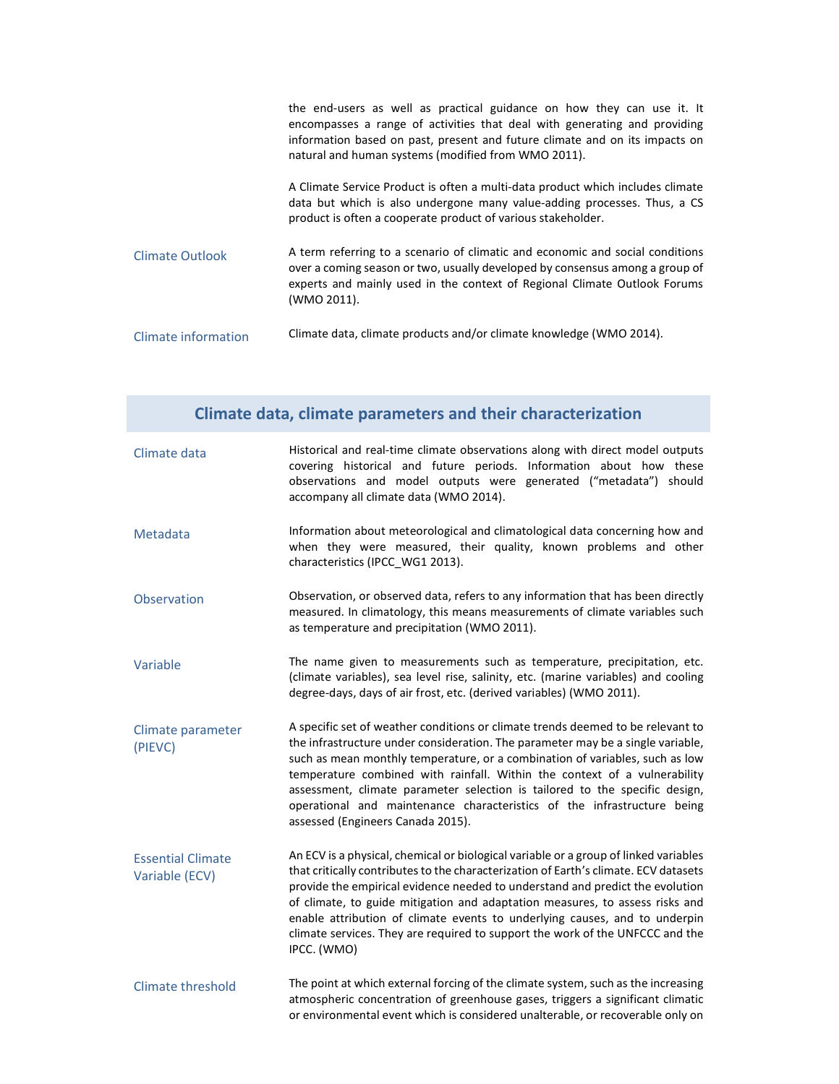|                     | the end-users as well as practical guidance on how they can use it. It<br>encompasses a range of activities that deal with generating and providing<br>information based on past, present and future climate and on its impacts on<br>natural and human systems (modified from WMO 2011). |
|---------------------|-------------------------------------------------------------------------------------------------------------------------------------------------------------------------------------------------------------------------------------------------------------------------------------------|
|                     | A Climate Service Product is often a multi-data product which includes climate<br>data but which is also undergone many value-adding processes. Thus, a CS<br>product is often a cooperate product of various stakeholder.                                                                |
| Climate Outlook     | A term referring to a scenario of climatic and economic and social conditions<br>over a coming season or two, usually developed by consensus among a group of<br>experts and mainly used in the context of Regional Climate Outlook Forums<br>(WMO 2011).                                 |
| Climate information | Climate data, climate products and/or climate knowledge (WMO 2014).                                                                                                                                                                                                                       |

| Climate data, climate parameters and their characterization |                                                                                                                                                                                                                                                                                                                                                                                                                                                                                                                                |  |
|-------------------------------------------------------------|--------------------------------------------------------------------------------------------------------------------------------------------------------------------------------------------------------------------------------------------------------------------------------------------------------------------------------------------------------------------------------------------------------------------------------------------------------------------------------------------------------------------------------|--|
| Climate data                                                | Historical and real-time climate observations along with direct model outputs<br>covering historical and future periods. Information about how these<br>observations and model outputs were generated ("metadata") should<br>accompany all climate data (WMO 2014).                                                                                                                                                                                                                                                            |  |
| Metadata                                                    | Information about meteorological and climatological data concerning how and<br>when they were measured, their quality, known problems and other<br>characteristics (IPCC_WG1 2013).                                                                                                                                                                                                                                                                                                                                            |  |
| Observation                                                 | Observation, or observed data, refers to any information that has been directly<br>measured. In climatology, this means measurements of climate variables such<br>as temperature and precipitation (WMO 2011).                                                                                                                                                                                                                                                                                                                 |  |
| Variable                                                    | The name given to measurements such as temperature, precipitation, etc.<br>(climate variables), sea level rise, salinity, etc. (marine variables) and cooling<br>degree-days, days of air frost, etc. (derived variables) (WMO 2011).                                                                                                                                                                                                                                                                                          |  |
| Climate parameter<br>(PIEVC)                                | A specific set of weather conditions or climate trends deemed to be relevant to<br>the infrastructure under consideration. The parameter may be a single variable,<br>such as mean monthly temperature, or a combination of variables, such as low<br>temperature combined with rainfall. Within the context of a vulnerability<br>assessment, climate parameter selection is tailored to the specific design,<br>operational and maintenance characteristics of the infrastructure being<br>assessed (Engineers Canada 2015). |  |
| <b>Essential Climate</b><br>Variable (ECV)                  | An ECV is a physical, chemical or biological variable or a group of linked variables<br>that critically contributes to the characterization of Earth's climate. ECV datasets<br>provide the empirical evidence needed to understand and predict the evolution<br>of climate, to guide mitigation and adaptation measures, to assess risks and<br>enable attribution of climate events to underlying causes, and to underpin<br>climate services. They are required to support the work of the UNFCCC and the<br>IPCC. (WMO)    |  |
| <b>Climate threshold</b>                                    | The point at which external forcing of the climate system, such as the increasing<br>atmospheric concentration of greenhouse gases, triggers a significant climatic                                                                                                                                                                                                                                                                                                                                                            |  |

or environmental event which is considered unalterable, or recoverable only on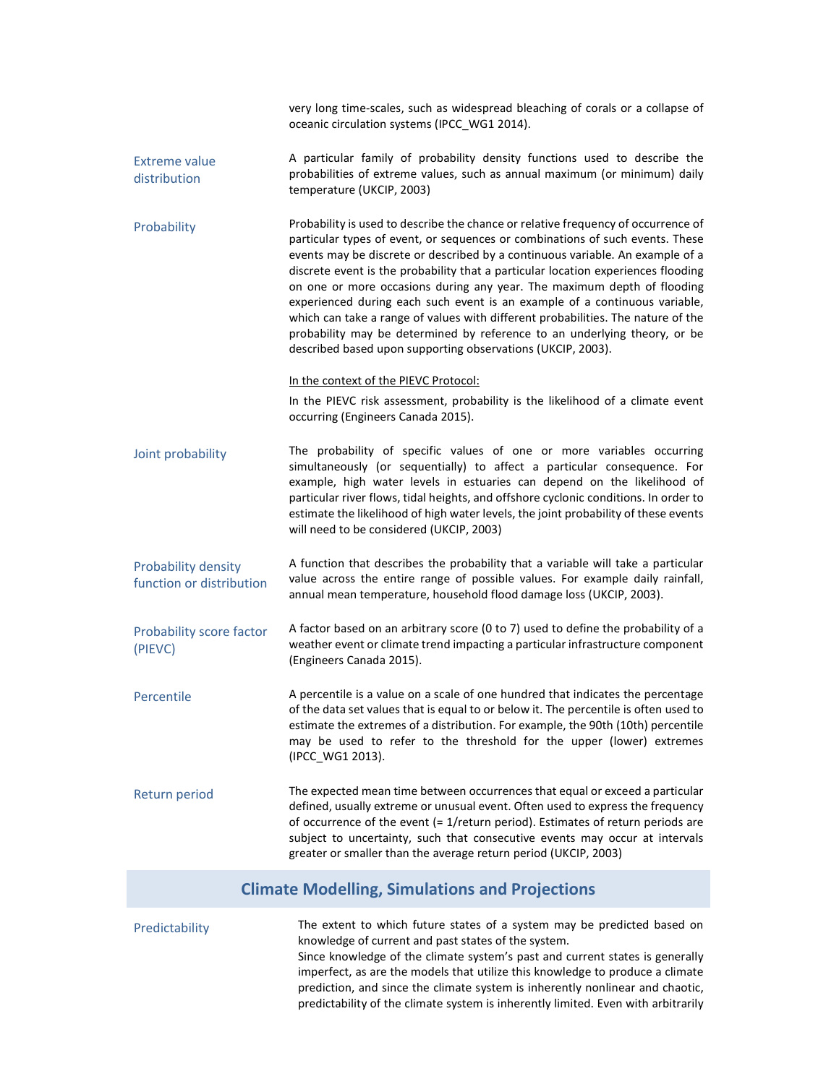|                                                 | very long time-scales, such as widespread bleaching of corals or a collapse of<br>oceanic circulation systems (IPCC_WG1 2014).                                                                                                                                                                                                                                                                                                                                                                                                                                                                                                                                                                                                    |
|-------------------------------------------------|-----------------------------------------------------------------------------------------------------------------------------------------------------------------------------------------------------------------------------------------------------------------------------------------------------------------------------------------------------------------------------------------------------------------------------------------------------------------------------------------------------------------------------------------------------------------------------------------------------------------------------------------------------------------------------------------------------------------------------------|
| <b>Extreme value</b><br>distribution            | A particular family of probability density functions used to describe the<br>probabilities of extreme values, such as annual maximum (or minimum) daily<br>temperature (UKCIP, 2003)                                                                                                                                                                                                                                                                                                                                                                                                                                                                                                                                              |
| Probability                                     | Probability is used to describe the chance or relative frequency of occurrence of<br>particular types of event, or sequences or combinations of such events. These<br>events may be discrete or described by a continuous variable. An example of a<br>discrete event is the probability that a particular location experiences flooding<br>on one or more occasions during any year. The maximum depth of flooding<br>experienced during each such event is an example of a continuous variable,<br>which can take a range of values with different probabilities. The nature of the<br>probability may be determined by reference to an underlying theory, or be<br>described based upon supporting observations (UKCIP, 2003). |
|                                                 | In the context of the PIEVC Protocol:<br>In the PIEVC risk assessment, probability is the likelihood of a climate event<br>occurring (Engineers Canada 2015).                                                                                                                                                                                                                                                                                                                                                                                                                                                                                                                                                                     |
| Joint probability                               | The probability of specific values of one or more variables occurring<br>simultaneously (or sequentially) to affect a particular consequence. For<br>example, high water levels in estuaries can depend on the likelihood of<br>particular river flows, tidal heights, and offshore cyclonic conditions. In order to<br>estimate the likelihood of high water levels, the joint probability of these events<br>will need to be considered (UKCIP, 2003)                                                                                                                                                                                                                                                                           |
| Probability density<br>function or distribution | A function that describes the probability that a variable will take a particular<br>value across the entire range of possible values. For example daily rainfall,<br>annual mean temperature, household flood damage loss (UKCIP, 2003).                                                                                                                                                                                                                                                                                                                                                                                                                                                                                          |
| Probability score factor<br>(PIEVC)             | A factor based on an arbitrary score (0 to 7) used to define the probability of a<br>weather event or climate trend impacting a particular infrastructure component<br>(Engineers Canada 2015).                                                                                                                                                                                                                                                                                                                                                                                                                                                                                                                                   |
| Percentile                                      | A percentile is a value on a scale of one hundred that indicates the percentage<br>of the data set values that is equal to or below it. The percentile is often used to<br>estimate the extremes of a distribution. For example, the 90th (10th) percentile<br>may be used to refer to the threshold for the upper (lower) extremes<br>(IPCC_WG1 2013).                                                                                                                                                                                                                                                                                                                                                                           |
| Return period                                   | The expected mean time between occurrences that equal or exceed a particular<br>defined, usually extreme or unusual event. Often used to express the frequency<br>of occurrence of the event (= 1/return period). Estimates of return periods are<br>subject to uncertainty, such that consecutive events may occur at intervals<br>greater or smaller than the average return period (UKCIP, 2003)                                                                                                                                                                                                                                                                                                                               |
|                                                 | <b>Climate Modelling, Simulations and Projections</b>                                                                                                                                                                                                                                                                                                                                                                                                                                                                                                                                                                                                                                                                             |
| Predictability                                  | The extent to which future states of a system may be predicted based on                                                                                                                                                                                                                                                                                                                                                                                                                                                                                                                                                                                                                                                           |

knowledge of current and past states of the system. Since knowledge of the climate system's past and current states is generally imperfect, as are the models that utilize this knowledge to produce a climate prediction, and since the climate system is inherently nonlinear and chaotic, predictability of the climate system is inherently limited. Even with arbitrarily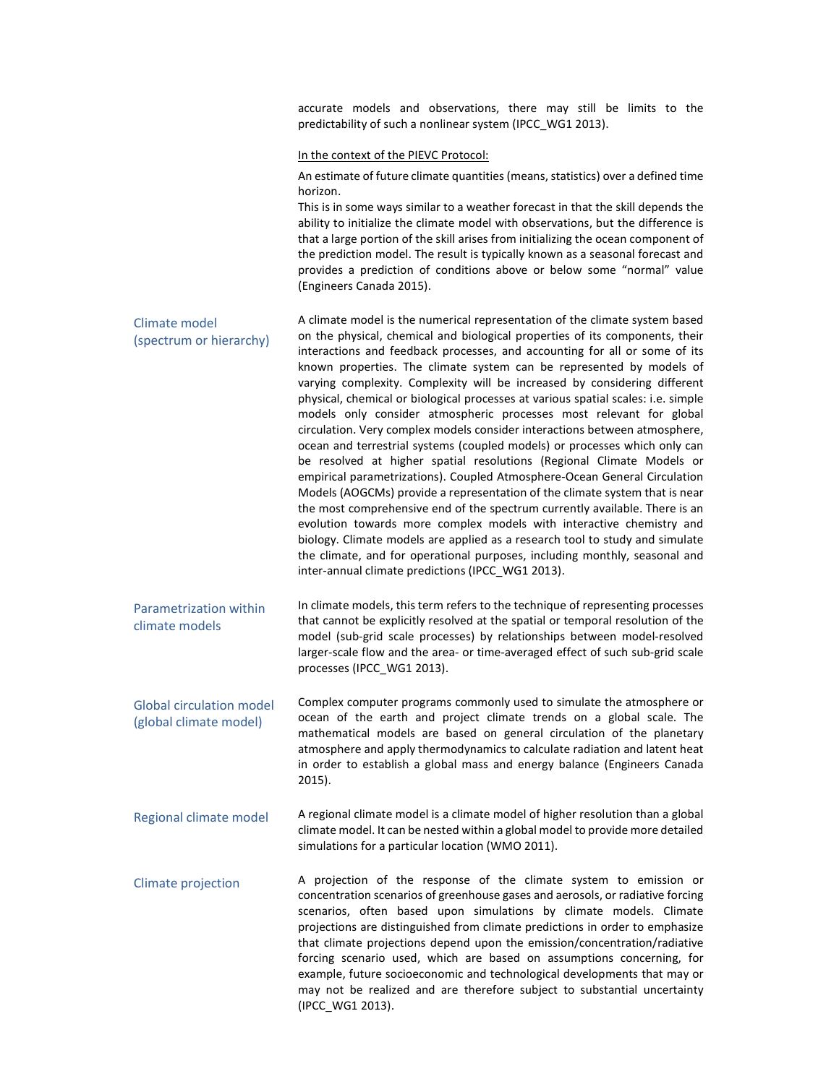accurate models and observations, there may still be limits to the predictability of such a nonlinear system (IPCC\_WG1 2013).

### In the context of the PIEVC Protocol:

An estimate of future climate quantities (means, statistics) over a defined time horizon.

This is in some ways similar to a weather forecast in that the skill depends the ability to initialize the climate model with observations, but the difference is that a large portion of the skill arises from initializing the ocean component of the prediction model. The result is typically known as a seasonal forecast and provides a prediction of conditions above or below some "normal" value (Engineers Canada 2015).

| Climate model<br>(spectrum or hierarchy) | A climate model is the numerical representation of the climate system based<br>on the physical, chemical and biological properties of its components, their<br>interactions and feedback processes, and accounting for all or some of its<br>known properties. The climate system can be represented by models of<br>varying complexity. Complexity will be increased by considering different<br>physical, chemical or biological processes at various spatial scales: i.e. simple<br>models only consider atmospheric processes most relevant for global<br>circulation. Very complex models consider interactions between atmosphere,<br>ocean and terrestrial systems (coupled models) or processes which only can<br>be resolved at higher spatial resolutions (Regional Climate Models or<br>empirical parametrizations). Coupled Atmosphere-Ocean General Circulation<br>Models (AOGCMs) provide a representation of the climate system that is near<br>the most comprehensive end of the spectrum currently available. There is an<br>evolution towards more complex models with interactive chemistry and<br>biology. Climate models are applied as a research tool to study and simulate<br>the climate, and for operational purposes, including monthly, seasonal and |
|------------------------------------------|----------------------------------------------------------------------------------------------------------------------------------------------------------------------------------------------------------------------------------------------------------------------------------------------------------------------------------------------------------------------------------------------------------------------------------------------------------------------------------------------------------------------------------------------------------------------------------------------------------------------------------------------------------------------------------------------------------------------------------------------------------------------------------------------------------------------------------------------------------------------------------------------------------------------------------------------------------------------------------------------------------------------------------------------------------------------------------------------------------------------------------------------------------------------------------------------------------------------------------------------------------------------------------|
|                                          | inter-annual climate predictions (IPCC WG1 2013).                                                                                                                                                                                                                                                                                                                                                                                                                                                                                                                                                                                                                                                                                                                                                                                                                                                                                                                                                                                                                                                                                                                                                                                                                                |

- Parametrization within climate models In climate models, this term refers to the technique of representing processes that cannot be explicitly resolved at the spatial or temporal resolution of the model (sub-grid scale processes) by relationships between model-resolved larger-scale flow and the area- or time-averaged effect of such sub-grid scale processes (IPCC\_WG1 2013).
- Global circulation model (global climate model) Complex computer programs commonly used to simulate the atmosphere or ocean of the earth and project climate trends on a global scale. The mathematical models are based on general circulation of the planetary atmosphere and apply thermodynamics to calculate radiation and latent heat in order to establish a global mass and energy balance (Engineers Canada 2015).
- Regional climate model A regional climate model is a climate model of higher resolution than a global climate model. It can be nested within a global model to provide more detailed simulations for a particular location (WMO 2011).
- Climate projection A projection of the response of the climate system to emission or concentration scenarios of greenhouse gases and aerosols, or radiative forcing scenarios, often based upon simulations by climate models. Climate projections are distinguished from climate predictions in order to emphasize that climate projections depend upon the emission/concentration/radiative forcing scenario used, which are based on assumptions concerning, for example, future socioeconomic and technological developments that may or may not be realized and are therefore subject to substantial uncertainty (IPCC\_WG1 2013).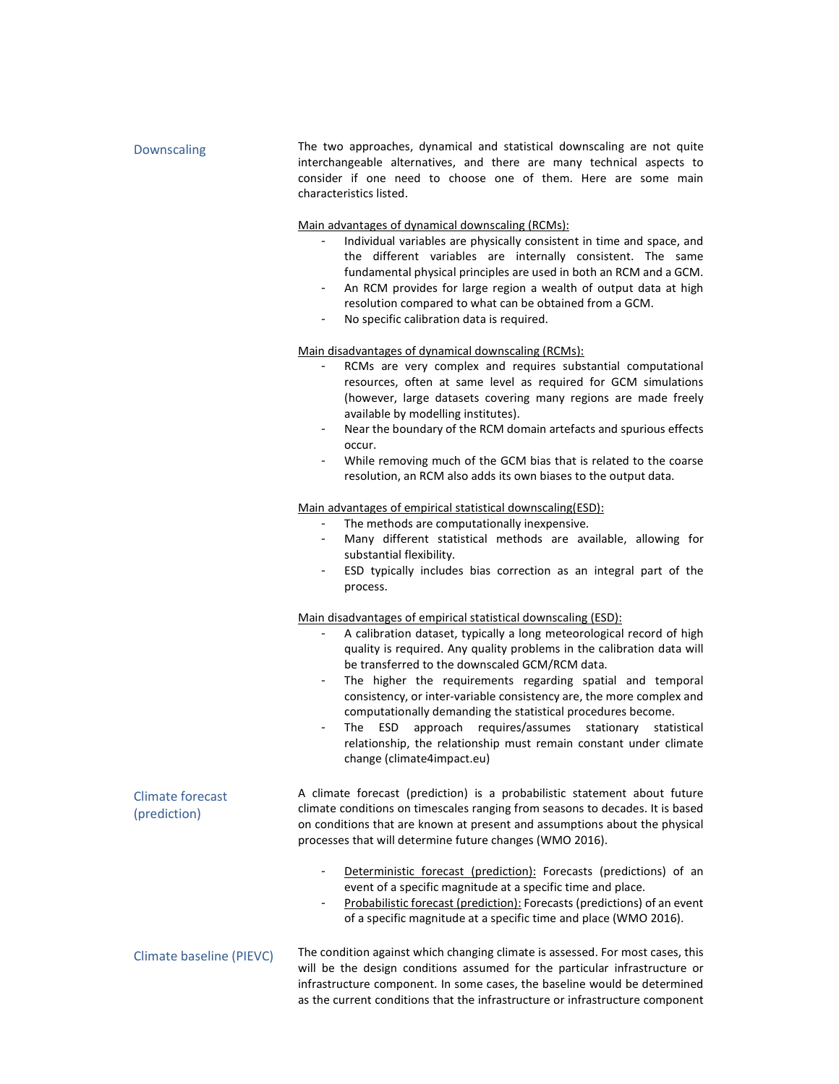| Downscaling                             | The two approaches, dynamical and statistical downscaling are not quite<br>interchangeable alternatives, and there are many technical aspects to<br>consider if one need to choose one of them. Here are some main<br>characteristics listed.                                                                                                                                                                                                                                                                                                                                                                                                                    |
|-----------------------------------------|------------------------------------------------------------------------------------------------------------------------------------------------------------------------------------------------------------------------------------------------------------------------------------------------------------------------------------------------------------------------------------------------------------------------------------------------------------------------------------------------------------------------------------------------------------------------------------------------------------------------------------------------------------------|
|                                         | Main advantages of dynamical downscaling (RCMs):<br>Individual variables are physically consistent in time and space, and<br>the different variables are internally consistent. The same<br>fundamental physical principles are used in both an RCM and a GCM.<br>An RCM provides for large region a wealth of output data at high<br>$\blacksquare$<br>resolution compared to what can be obtained from a GCM.<br>No specific calibration data is required.<br>$\blacksquare$                                                                                                                                                                                   |
|                                         | Main disadvantages of dynamical downscaling (RCMs):<br>RCMs are very complex and requires substantial computational<br>resources, often at same level as required for GCM simulations<br>(however, large datasets covering many regions are made freely                                                                                                                                                                                                                                                                                                                                                                                                          |
|                                         | available by modelling institutes).<br>Near the boundary of the RCM domain artefacts and spurious effects<br>occur.<br>While removing much of the GCM bias that is related to the coarse<br>resolution, an RCM also adds its own biases to the output data.                                                                                                                                                                                                                                                                                                                                                                                                      |
|                                         | Main advantages of empirical statistical downscaling(ESD):<br>The methods are computationally inexpensive.<br>Many different statistical methods are available, allowing for<br>$\overline{\phantom{a}}$<br>substantial flexibility.<br>ESD typically includes bias correction as an integral part of the<br>process.                                                                                                                                                                                                                                                                                                                                            |
|                                         | Main disadvantages of empirical statistical downscaling (ESD):<br>A calibration dataset, typically a long meteorological record of high<br>quality is required. Any quality problems in the calibration data will<br>be transferred to the downscaled GCM/RCM data.<br>The higher the requirements regarding spatial and temporal<br>$\blacksquare$<br>consistency, or inter-variable consistency are, the more complex and<br>computationally demanding the statistical procedures become.<br>approach requires/assumes stationary<br>The ESD<br>statistical<br>relationship, the relationship must remain constant under climate<br>change (climate4impact.eu) |
| <b>Climate forecast</b><br>(prediction) | A climate forecast (prediction) is a probabilistic statement about future<br>climate conditions on timescales ranging from seasons to decades. It is based<br>on conditions that are known at present and assumptions about the physical<br>processes that will determine future changes (WMO 2016).                                                                                                                                                                                                                                                                                                                                                             |
|                                         | Deterministic forecast (prediction): Forecasts (predictions) of an<br>event of a specific magnitude at a specific time and place.<br>Probabilistic forecast (prediction): Forecasts (predictions) of an event<br>$\overline{\phantom{a}}$<br>of a specific magnitude at a specific time and place (WMO 2016).                                                                                                                                                                                                                                                                                                                                                    |
| <b>Climate baseline (PIEVC)</b>         | The condition against which changing climate is assessed. For most cases, this<br>will be the design conditions assumed for the particular infrastructure or<br>infrastructure component. In some cases, the baseline would be determined<br>as the current conditions that the infrastructure or infrastructure component                                                                                                                                                                                                                                                                                                                                       |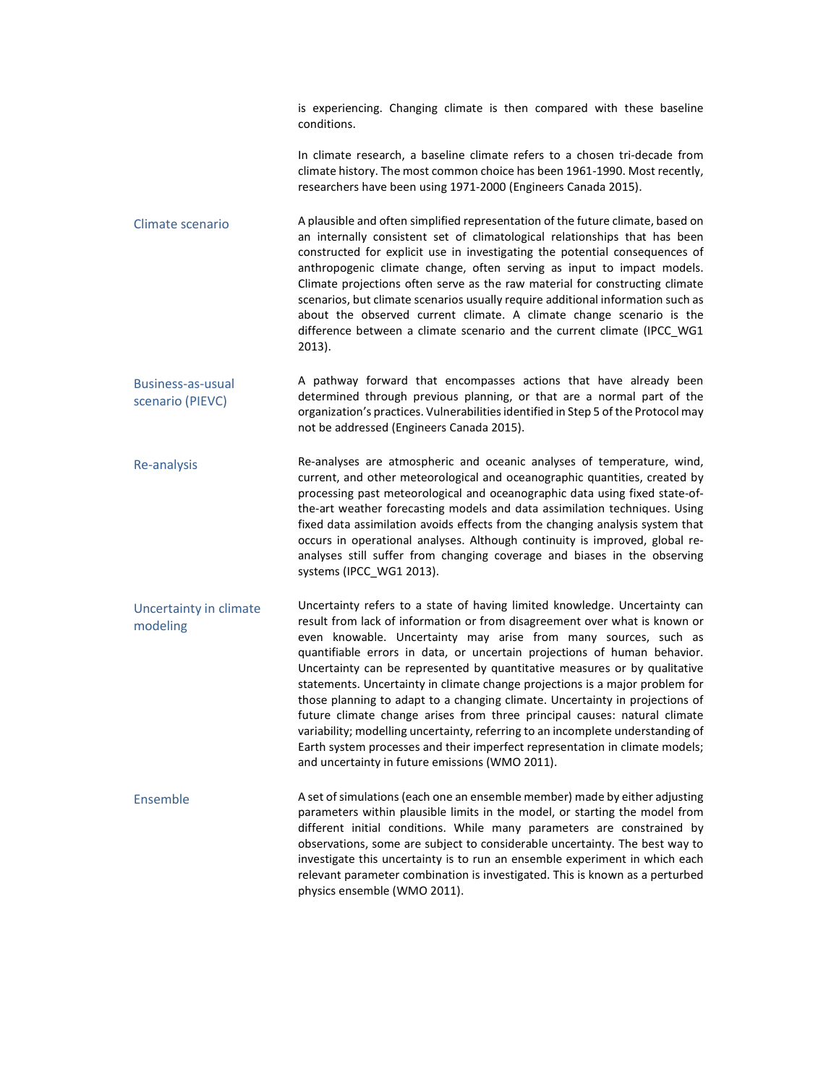is experiencing. Changing climate is then compared with these baseline conditions.

In climate research, a baseline climate refers to a chosen tri-decade from climate history. The most common choice has been 1961-1990. Most recently, researchers have been using 1971-2000 (Engineers Canada 2015).

Climate scenario A plausible and often simplified representation of the future climate, based on an internally consistent set of climatological relationships that has been constructed for explicit use in investigating the potential consequences of anthropogenic climate change, often serving as input to impact models. Climate projections often serve as the raw material for constructing climate scenarios, but climate scenarios usually require additional information such as about the observed current climate. A climate change scenario is the difference between a climate scenario and the current climate (IPCC\_WG1 2013).

Business-as-usual scenario (PIEVC) A pathway forward that encompasses actions that have already been determined through previous planning, or that are a normal part of the organization's practices. Vulnerabilities identified in Step 5 of the Protocol may not be addressed (Engineers Canada 2015).

Re-analysis Re-analyses are atmospheric and oceanic analyses of temperature, wind, current, and other meteorological and oceanographic quantities, created by processing past meteorological and oceanographic data using fixed state-ofthe-art weather forecasting models and data assimilation techniques. Using fixed data assimilation avoids effects from the changing analysis system that occurs in operational analyses. Although continuity is improved, global reanalyses still suffer from changing coverage and biases in the observing systems (IPCC\_WG1 2013).

Uncertainty in climate modeling Uncertainty refers to a state of having limited knowledge. Uncertainty can result from lack of information or from disagreement over what is known or even knowable. Uncertainty may arise from many sources, such as quantifiable errors in data, or uncertain projections of human behavior. Uncertainty can be represented by quantitative measures or by qualitative statements. Uncertainty in climate change projections is a major problem for those planning to adapt to a changing climate. Uncertainty in projections of future climate change arises from three principal causes: natural climate variability; modelling uncertainty, referring to an incomplete understanding of Earth system processes and their imperfect representation in climate models; and uncertainty in future emissions (WMO 2011).

Ensemble A set of simulations (each one an ensemble member) made by either adjusting parameters within plausible limits in the model, or starting the model from different initial conditions. While many parameters are constrained by observations, some are subject to considerable uncertainty. The best way to investigate this uncertainty is to run an ensemble experiment in which each relevant parameter combination is investigated. This is known as a perturbed physics ensemble (WMO 2011).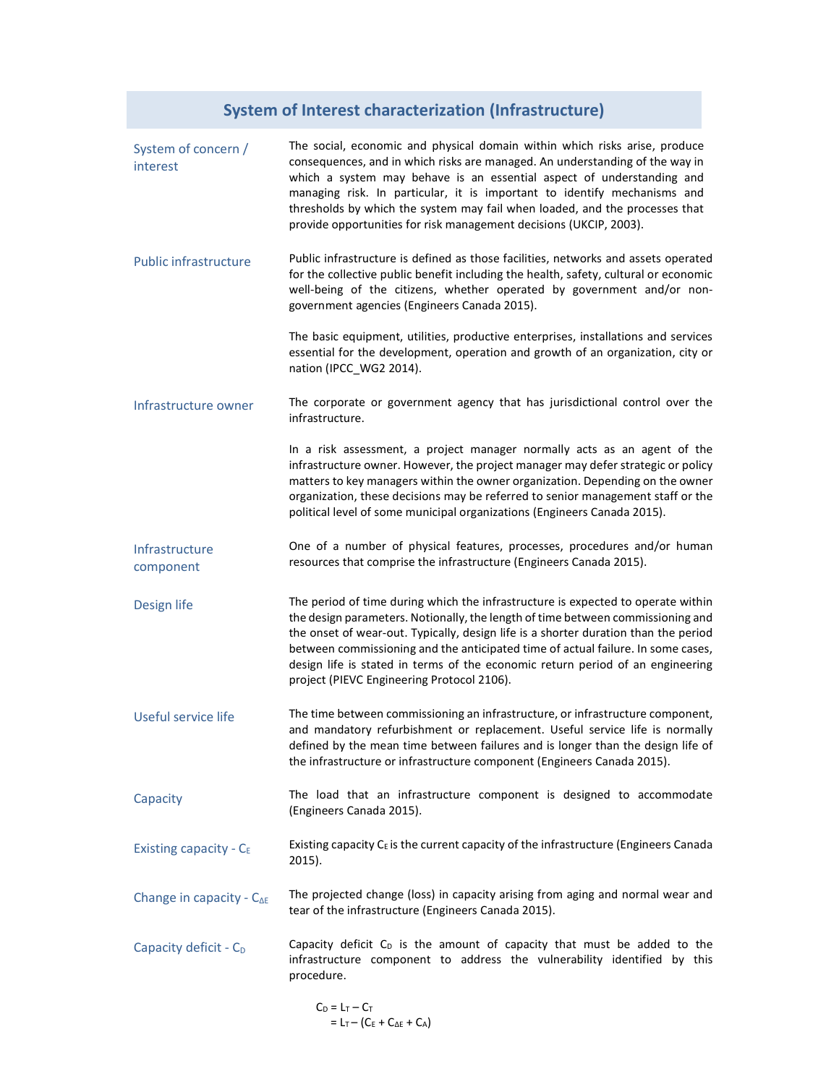# **System of Interest characterization (Infrastructure)**

| System of concern /<br>interest     | The social, economic and physical domain within which risks arise, produce<br>consequences, and in which risks are managed. An understanding of the way in<br>which a system may behave is an essential aspect of understanding and<br>managing risk. In particular, it is important to identify mechanisms and<br>thresholds by which the system may fail when loaded, and the processes that<br>provide opportunities for risk management decisions (UKCIP, 2003).           |
|-------------------------------------|--------------------------------------------------------------------------------------------------------------------------------------------------------------------------------------------------------------------------------------------------------------------------------------------------------------------------------------------------------------------------------------------------------------------------------------------------------------------------------|
| <b>Public infrastructure</b>        | Public infrastructure is defined as those facilities, networks and assets operated<br>for the collective public benefit including the health, safety, cultural or economic<br>well-being of the citizens, whether operated by government and/or non-<br>government agencies (Engineers Canada 2015).                                                                                                                                                                           |
|                                     | The basic equipment, utilities, productive enterprises, installations and services<br>essential for the development, operation and growth of an organization, city or<br>nation (IPCC_WG2 2014).                                                                                                                                                                                                                                                                               |
| Infrastructure owner                | The corporate or government agency that has jurisdictional control over the<br>infrastructure.                                                                                                                                                                                                                                                                                                                                                                                 |
|                                     | In a risk assessment, a project manager normally acts as an agent of the<br>infrastructure owner. However, the project manager may defer strategic or policy<br>matters to key managers within the owner organization. Depending on the owner<br>organization, these decisions may be referred to senior management staff or the<br>political level of some municipal organizations (Engineers Canada 2015).                                                                   |
| Infrastructure<br>component         | One of a number of physical features, processes, procedures and/or human<br>resources that comprise the infrastructure (Engineers Canada 2015).                                                                                                                                                                                                                                                                                                                                |
| Design life                         | The period of time during which the infrastructure is expected to operate within<br>the design parameters. Notionally, the length of time between commissioning and<br>the onset of wear-out. Typically, design life is a shorter duration than the period<br>between commissioning and the anticipated time of actual failure. In some cases,<br>design life is stated in terms of the economic return period of an engineering<br>project (PIEVC Engineering Protocol 2106). |
| Useful service life                 | The time between commissioning an infrastructure, or infrastructure component,<br>and mandatory refurbishment or replacement. Useful service life is normally<br>defined by the mean time between failures and is longer than the design life of<br>the infrastructure or infrastructure component (Engineers Canada 2015).                                                                                                                                                    |
| Capacity                            | The load that an infrastructure component is designed to accommodate<br>(Engineers Canada 2015).                                                                                                                                                                                                                                                                                                                                                                               |
| Existing capacity - $C_E$           | Existing capacity $C_E$ is the current capacity of the infrastructure (Engineers Canada<br>2015).                                                                                                                                                                                                                                                                                                                                                                              |
| Change in capacity - $C_{\Delta E}$ | The projected change (loss) in capacity arising from aging and normal wear and<br>tear of the infrastructure (Engineers Canada 2015).                                                                                                                                                                                                                                                                                                                                          |
| Capacity deficit - C <sub>D</sub>   | Capacity deficit C <sub>D</sub> is the amount of capacity that must be added to the<br>infrastructure component to address the vulnerability identified by this<br>procedure.                                                                                                                                                                                                                                                                                                  |
|                                     | $C_D = L_T - C_T$<br>$= L_{T} - (C_{E} + C_{\Delta E} + C_{A})$                                                                                                                                                                                                                                                                                                                                                                                                                |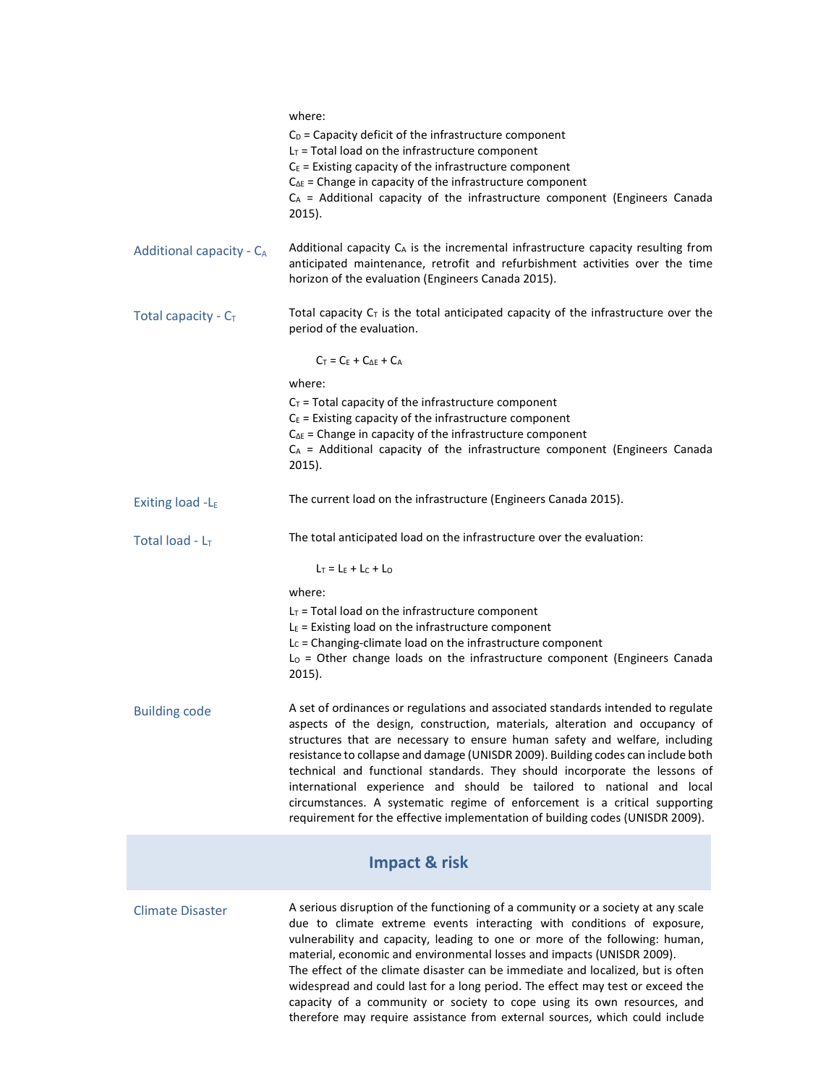|                          | where:<br>$C_D$ = Capacity deficit of the infrastructure component<br>$LT$ = Total load on the infrastructure component<br>$C_E$ = Existing capacity of the infrastructure component<br>$C_{\Delta E}$ = Change in capacity of the infrastructure component<br>$C_A$ = Additional capacity of the infrastructure component (Engineers Canada<br>2015).                                                                                                                                                                                                                                                                                                   |  |  |
|--------------------------|----------------------------------------------------------------------------------------------------------------------------------------------------------------------------------------------------------------------------------------------------------------------------------------------------------------------------------------------------------------------------------------------------------------------------------------------------------------------------------------------------------------------------------------------------------------------------------------------------------------------------------------------------------|--|--|
| Additional capacity - CA | Additional capacity $C_A$ is the incremental infrastructure capacity resulting from<br>anticipated maintenance, retrofit and refurbishment activities over the time<br>horizon of the evaluation (Engineers Canada 2015).                                                                                                                                                                                                                                                                                                                                                                                                                                |  |  |
| Total capacity - $C_T$   | Total capacity $C_T$ is the total anticipated capacity of the infrastructure over the<br>period of the evaluation.                                                                                                                                                                                                                                                                                                                                                                                                                                                                                                                                       |  |  |
|                          | $C_T = C_E + C_{\Delta E} + C_A$                                                                                                                                                                                                                                                                                                                                                                                                                                                                                                                                                                                                                         |  |  |
|                          | where:                                                                                                                                                                                                                                                                                                                                                                                                                                                                                                                                                                                                                                                   |  |  |
|                          | $C_T$ = Total capacity of the infrastructure component<br>$C_E$ = Existing capacity of the infrastructure component<br>$C_{\Delta E}$ = Change in capacity of the infrastructure component<br>$C_A$ = Additional capacity of the infrastructure component (Engineers Canada<br>2015).                                                                                                                                                                                                                                                                                                                                                                    |  |  |
| Exiting load -LE         | The current load on the infrastructure (Engineers Canada 2015).                                                                                                                                                                                                                                                                                                                                                                                                                                                                                                                                                                                          |  |  |
| Total load - $L_T$       | The total anticipated load on the infrastructure over the evaluation:                                                                                                                                                                                                                                                                                                                                                                                                                                                                                                                                                                                    |  |  |
| $L_T = L_E + L_C + L_O$  |                                                                                                                                                                                                                                                                                                                                                                                                                                                                                                                                                                                                                                                          |  |  |
|                          | where:                                                                                                                                                                                                                                                                                                                                                                                                                                                                                                                                                                                                                                                   |  |  |
|                          | $LT$ = Total load on the infrastructure component<br>$LE$ = Existing load on the infrastructure component<br>L <sub>C</sub> = Changing-climate load on the infrastructure component<br>$L_0$ = Other change loads on the infrastructure component (Engineers Canada<br>2015).                                                                                                                                                                                                                                                                                                                                                                            |  |  |
| <b>Building code</b>     | A set of ordinances or regulations and associated standards intended to regulate<br>aspects of the design, construction, materials, alteration and occupancy of<br>structures that are necessary to ensure human safety and welfare, including<br>resistance to collapse and damage (UNISDR 2009). Building codes can include both<br>technical and functional standards. They should incorporate the lessons of<br>international experience and should be tailored to national and local<br>circumstances. A systematic regime of enforcement is a critical supporting<br>requirement for the effective implementation of building codes (UNISDR 2009). |  |  |
|                          | <b>Impact &amp; risk</b>                                                                                                                                                                                                                                                                                                                                                                                                                                                                                                                                                                                                                                 |  |  |
| <b>Climate Disaster</b>  | A serious disruption of the functioning of a community or a society at any scale<br>due to climate extreme events interacting with conditions of exposure,<br>vulnerability and capacity, leading to one or more of the following: human,<br>material, economic and environmental losses and impacts (UNISDR 2009).<br>The effect of the climate disaster can be immediate and localized, but is often<br>widespread and could last for a long period. The effect may test or exceed the<br>capacity of a community or society to cope using its own resources, and<br>therefore may require assistance from external sources, which could include       |  |  |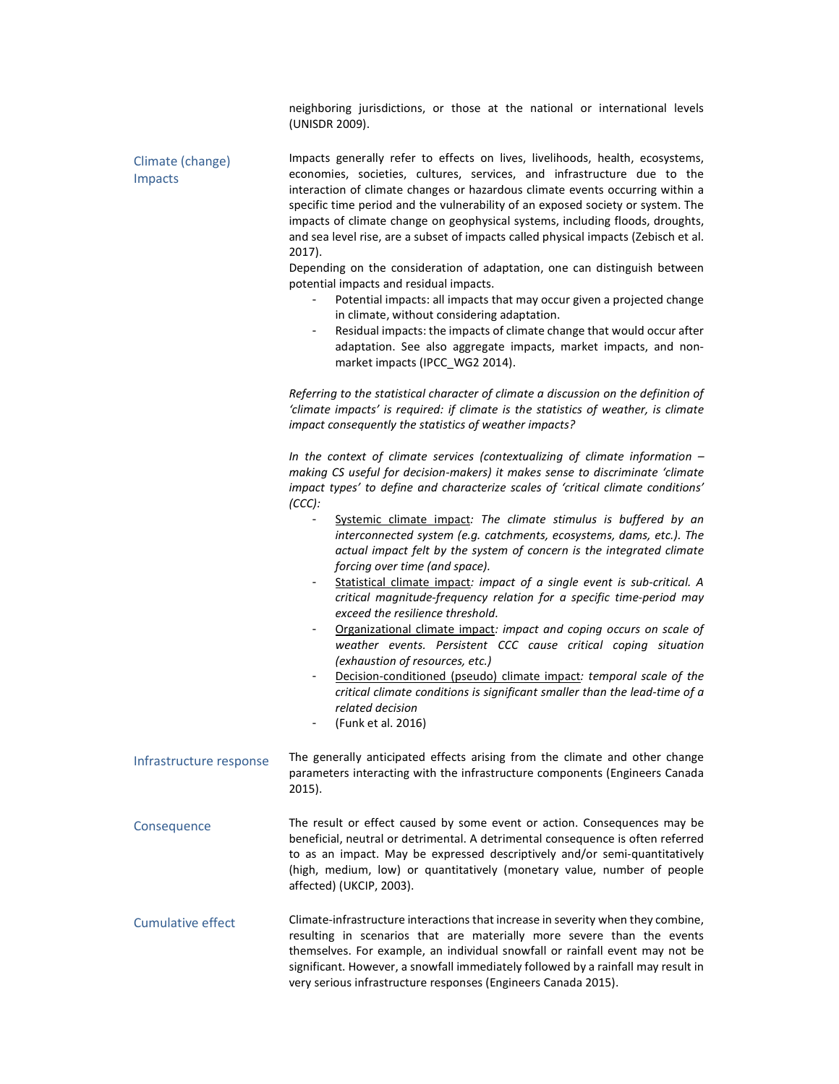|                             | neighboring jurisdictions, or those at the national or international levels<br>(UNISDR 2009).                                                                                                                                                                                                                                                                                                                                                                                                                  |  |
|-----------------------------|----------------------------------------------------------------------------------------------------------------------------------------------------------------------------------------------------------------------------------------------------------------------------------------------------------------------------------------------------------------------------------------------------------------------------------------------------------------------------------------------------------------|--|
| Climate (change)<br>Impacts | Impacts generally refer to effects on lives, livelihoods, health, ecosystems,<br>economies, societies, cultures, services, and infrastructure due to the<br>interaction of climate changes or hazardous climate events occurring within a<br>specific time period and the vulnerability of an exposed society or system. The<br>impacts of climate change on geophysical systems, including floods, droughts,<br>and sea level rise, are a subset of impacts called physical impacts (Zebisch et al.<br>2017). |  |
|                             | Depending on the consideration of adaptation, one can distinguish between<br>potential impacts and residual impacts.<br>Potential impacts: all impacts that may occur given a projected change                                                                                                                                                                                                                                                                                                                 |  |
|                             | in climate, without considering adaptation.<br>Residual impacts: the impacts of climate change that would occur after<br>$\blacksquare$<br>adaptation. See also aggregate impacts, market impacts, and non-<br>market impacts (IPCC_WG2 2014).                                                                                                                                                                                                                                                                 |  |
|                             | Referring to the statistical character of climate a discussion on the definition of<br>'climate impacts' is required: if climate is the statistics of weather, is climate<br>impact consequently the statistics of weather impacts?                                                                                                                                                                                                                                                                            |  |
|                             | In the context of climate services (contextualizing of climate information $-$<br>making CS useful for decision-makers) it makes sense to discriminate 'climate<br>impact types' to define and characterize scales of 'critical climate conditions'<br>(CCC):                                                                                                                                                                                                                                                  |  |
|                             | Systemic climate impact: The climate stimulus is buffered by an<br>interconnected system (e.g. catchments, ecosystems, dams, etc.). The<br>actual impact felt by the system of concern is the integrated climate<br>forcing over time (and space).                                                                                                                                                                                                                                                             |  |
|                             | Statistical climate impact: impact of a single event is sub-critical. A<br>critical magnitude-frequency relation for a specific time-period may<br>exceed the resilience threshold.                                                                                                                                                                                                                                                                                                                            |  |
|                             | Organizational climate impact: impact and coping occurs on scale of<br>weather events. Persistent CCC cause critical coping situation<br>(exhaustion of resources, etc.)                                                                                                                                                                                                                                                                                                                                       |  |
|                             | Decision-conditioned (pseudo) climate impact: temporal scale of the<br>critical climate conditions is significant smaller than the lead-time of a<br>related decision<br>(Funk et al. 2016)                                                                                                                                                                                                                                                                                                                    |  |
| Infrastructure response     | The generally anticipated effects arising from the climate and other change<br>parameters interacting with the infrastructure components (Engineers Canada<br>2015).                                                                                                                                                                                                                                                                                                                                           |  |
| Consequence                 | The result or effect caused by some event or action. Consequences may be<br>beneficial, neutral or detrimental. A detrimental consequence is often referred<br>to as an impact. May be expressed descriptively and/or semi-quantitatively<br>(high, medium, low) or quantitatively (monetary value, number of people<br>affected) (UKCIP, 2003).                                                                                                                                                               |  |
| <b>Cumulative effect</b>    | Climate-infrastructure interactions that increase in severity when they combine,<br>resulting in scenarios that are materially more severe than the events<br>themselves. For example, an individual snowfall or rainfall event may not be<br>significant. However, a snowfall immediately followed by a rainfall may result in<br>very serious infrastructure responses (Engineers Canada 2015).                                                                                                              |  |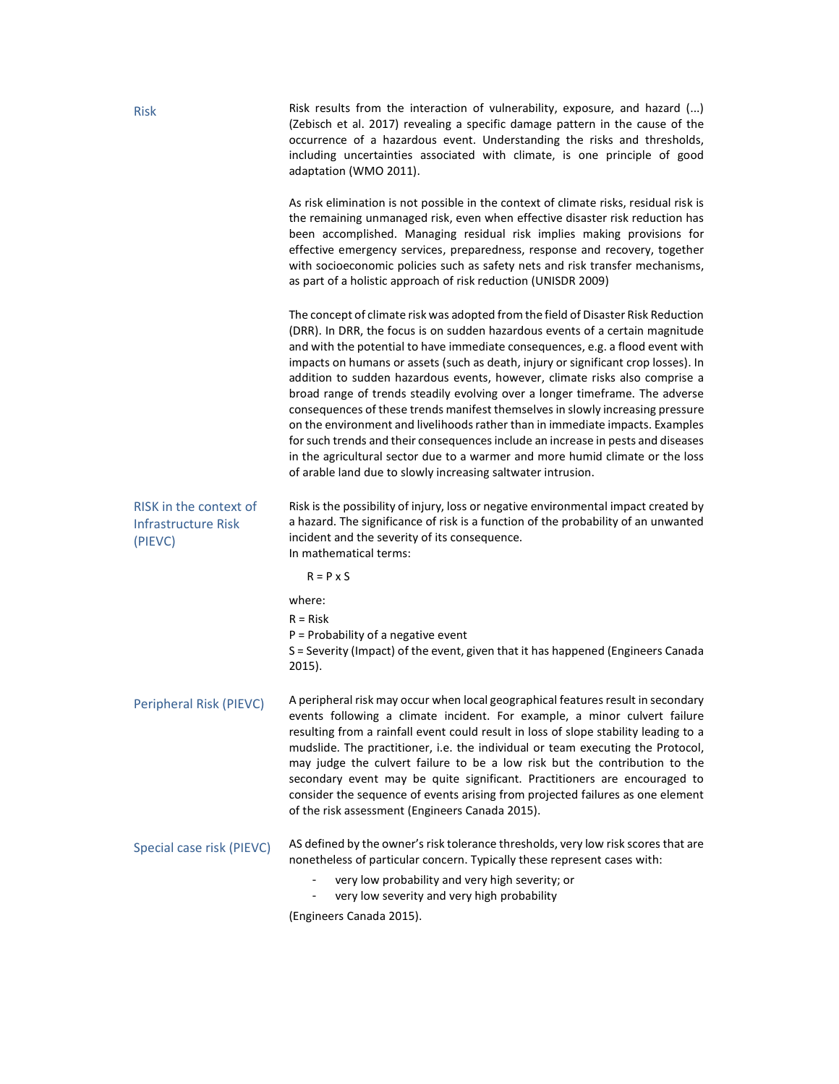| <b>Risk</b>                                              | Risk results from the interaction of vulnerability, exposure, and hazard $()$<br>(Zebisch et al. 2017) revealing a specific damage pattern in the cause of the<br>occurrence of a hazardous event. Understanding the risks and thresholds,<br>including uncertainties associated with climate, is one principle of good<br>adaptation (WMO 2011).                                                                                                                                                                                                                                                                                                                                                                                                                                                                                                                                                                 |  |  |
|----------------------------------------------------------|-------------------------------------------------------------------------------------------------------------------------------------------------------------------------------------------------------------------------------------------------------------------------------------------------------------------------------------------------------------------------------------------------------------------------------------------------------------------------------------------------------------------------------------------------------------------------------------------------------------------------------------------------------------------------------------------------------------------------------------------------------------------------------------------------------------------------------------------------------------------------------------------------------------------|--|--|
|                                                          | As risk elimination is not possible in the context of climate risks, residual risk is<br>the remaining unmanaged risk, even when effective disaster risk reduction has<br>been accomplished. Managing residual risk implies making provisions for<br>effective emergency services, preparedness, response and recovery, together<br>with socioeconomic policies such as safety nets and risk transfer mechanisms,<br>as part of a holistic approach of risk reduction (UNISDR 2009)                                                                                                                                                                                                                                                                                                                                                                                                                               |  |  |
|                                                          | The concept of climate risk was adopted from the field of Disaster Risk Reduction<br>(DRR). In DRR, the focus is on sudden hazardous events of a certain magnitude<br>and with the potential to have immediate consequences, e.g. a flood event with<br>impacts on humans or assets (such as death, injury or significant crop losses). In<br>addition to sudden hazardous events, however, climate risks also comprise a<br>broad range of trends steadily evolving over a longer timeframe. The adverse<br>consequences of these trends manifest themselves in slowly increasing pressure<br>on the environment and livelihoods rather than in immediate impacts. Examples<br>for such trends and their consequences include an increase in pests and diseases<br>in the agricultural sector due to a warmer and more humid climate or the loss<br>of arable land due to slowly increasing saltwater intrusion. |  |  |
| RISK in the context of<br>Infrastructure Risk<br>(PIEVC) | Risk is the possibility of injury, loss or negative environmental impact created by<br>a hazard. The significance of risk is a function of the probability of an unwanted<br>incident and the severity of its consequence.<br>In mathematical terms:                                                                                                                                                                                                                                                                                                                                                                                                                                                                                                                                                                                                                                                              |  |  |
|                                                          | $R = P \times S$                                                                                                                                                                                                                                                                                                                                                                                                                                                                                                                                                                                                                                                                                                                                                                                                                                                                                                  |  |  |
|                                                          | where:                                                                                                                                                                                                                                                                                                                                                                                                                                                                                                                                                                                                                                                                                                                                                                                                                                                                                                            |  |  |
|                                                          | $R = Risk$<br>$P =$ Probability of a negative event<br>S = Severity (Impact) of the event, given that it has happened (Engineers Canada<br>2015).                                                                                                                                                                                                                                                                                                                                                                                                                                                                                                                                                                                                                                                                                                                                                                 |  |  |
| Peripheral Risk (PIEVC)                                  | A peripheral risk may occur when local geographical features result in secondary<br>events following a climate incident. For example, a minor culvert failure<br>resulting from a rainfall event could result in loss of slope stability leading to a<br>mudslide. The practitioner, i.e. the individual or team executing the Protocol,<br>may judge the culvert failure to be a low risk but the contribution to the<br>secondary event may be quite significant. Practitioners are encouraged to<br>consider the sequence of events arising from projected failures as one element<br>of the risk assessment (Engineers Canada 2015).                                                                                                                                                                                                                                                                          |  |  |
| Special case risk (PIEVC)                                | AS defined by the owner's risk tolerance thresholds, very low risk scores that are<br>nonetheless of particular concern. Typically these represent cases with:<br>very low probability and very high severity; or                                                                                                                                                                                                                                                                                                                                                                                                                                                                                                                                                                                                                                                                                                 |  |  |
|                                                          | very low severity and very high probability                                                                                                                                                                                                                                                                                                                                                                                                                                                                                                                                                                                                                                                                                                                                                                                                                                                                       |  |  |
|                                                          | (Engineers Canada 2015).                                                                                                                                                                                                                                                                                                                                                                                                                                                                                                                                                                                                                                                                                                                                                                                                                                                                                          |  |  |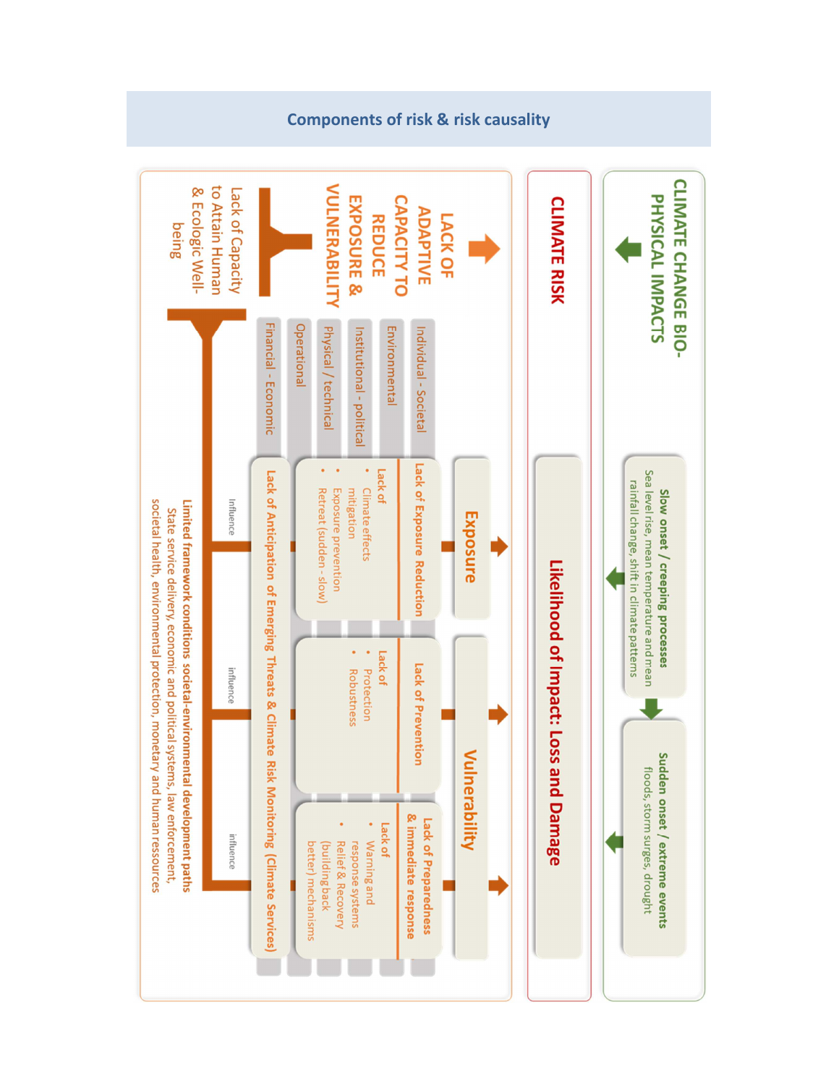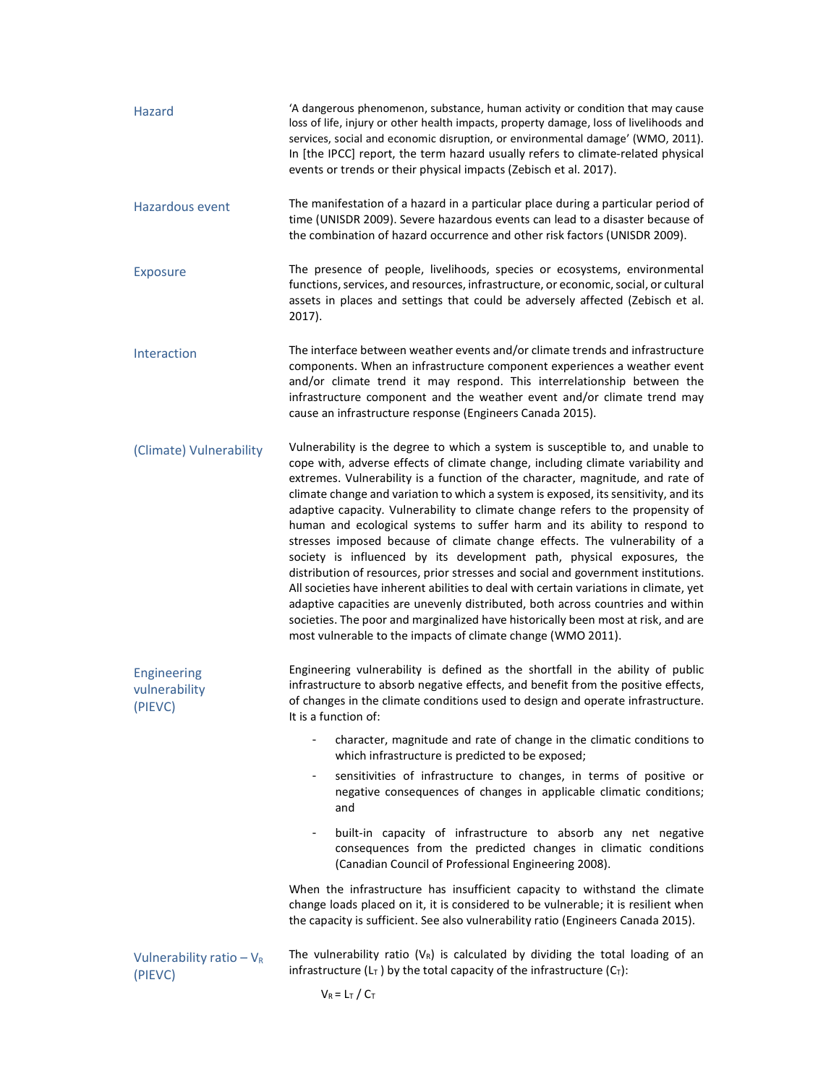| Hazard                                         | 'A dangerous phenomenon, substance, human activity or condition that may cause<br>loss of life, injury or other health impacts, property damage, loss of livelihoods and<br>services, social and economic disruption, or environmental damage' (WMO, 2011).<br>In [the IPCC] report, the term hazard usually refers to climate-related physical<br>events or trends or their physical impacts (Zebisch et al. 2017).                                                                                                                                                                                                                                                                                                                                                                                                                                                                                                                                                                                                                                                                   |  |  |  |
|------------------------------------------------|----------------------------------------------------------------------------------------------------------------------------------------------------------------------------------------------------------------------------------------------------------------------------------------------------------------------------------------------------------------------------------------------------------------------------------------------------------------------------------------------------------------------------------------------------------------------------------------------------------------------------------------------------------------------------------------------------------------------------------------------------------------------------------------------------------------------------------------------------------------------------------------------------------------------------------------------------------------------------------------------------------------------------------------------------------------------------------------|--|--|--|
| Hazardous event                                | The manifestation of a hazard in a particular place during a particular period of<br>time (UNISDR 2009). Severe hazardous events can lead to a disaster because of<br>the combination of hazard occurrence and other risk factors (UNISDR 2009).                                                                                                                                                                                                                                                                                                                                                                                                                                                                                                                                                                                                                                                                                                                                                                                                                                       |  |  |  |
| <b>Exposure</b>                                | The presence of people, livelihoods, species or ecosystems, environmental<br>functions, services, and resources, infrastructure, or economic, social, or cultural<br>assets in places and settings that could be adversely affected (Zebisch et al.<br>$2017$ ).                                                                                                                                                                                                                                                                                                                                                                                                                                                                                                                                                                                                                                                                                                                                                                                                                       |  |  |  |
| Interaction                                    | The interface between weather events and/or climate trends and infrastructure<br>components. When an infrastructure component experiences a weather event<br>and/or climate trend it may respond. This interrelationship between the<br>infrastructure component and the weather event and/or climate trend may<br>cause an infrastructure response (Engineers Canada 2015).                                                                                                                                                                                                                                                                                                                                                                                                                                                                                                                                                                                                                                                                                                           |  |  |  |
| (Climate) Vulnerability                        | Vulnerability is the degree to which a system is susceptible to, and unable to<br>cope with, adverse effects of climate change, including climate variability and<br>extremes. Vulnerability is a function of the character, magnitude, and rate of<br>climate change and variation to which a system is exposed, its sensitivity, and its<br>adaptive capacity. Vulnerability to climate change refers to the propensity of<br>human and ecological systems to suffer harm and its ability to respond to<br>stresses imposed because of climate change effects. The vulnerability of a<br>society is influenced by its development path, physical exposures, the<br>distribution of resources, prior stresses and social and government institutions.<br>All societies have inherent abilities to deal with certain variations in climate, yet<br>adaptive capacities are unevenly distributed, both across countries and within<br>societies. The poor and marginalized have historically been most at risk, and are<br>most vulnerable to the impacts of climate change (WMO 2011). |  |  |  |
| <b>Engineering</b><br>vulnerability<br>(PIEVC) | Engineering vulnerability is defined as the shortfall in the ability of public<br>infrastructure to absorb negative effects, and benefit from the positive effects,<br>of changes in the climate conditions used to design and operate infrastructure.<br>It is a function of:                                                                                                                                                                                                                                                                                                                                                                                                                                                                                                                                                                                                                                                                                                                                                                                                         |  |  |  |
|                                                | character, magnitude and rate of change in the climatic conditions to<br>which infrastructure is predicted to be exposed;                                                                                                                                                                                                                                                                                                                                                                                                                                                                                                                                                                                                                                                                                                                                                                                                                                                                                                                                                              |  |  |  |
|                                                | sensitivities of infrastructure to changes, in terms of positive or<br>$\blacksquare$<br>negative consequences of changes in applicable climatic conditions;<br>and                                                                                                                                                                                                                                                                                                                                                                                                                                                                                                                                                                                                                                                                                                                                                                                                                                                                                                                    |  |  |  |
|                                                | built-in capacity of infrastructure to absorb any net negative<br>$\blacksquare$<br>consequences from the predicted changes in climatic conditions<br>(Canadian Council of Professional Engineering 2008).                                                                                                                                                                                                                                                                                                                                                                                                                                                                                                                                                                                                                                                                                                                                                                                                                                                                             |  |  |  |
|                                                | When the infrastructure has insufficient capacity to withstand the climate<br>change loads placed on it, it is considered to be vulnerable; it is resilient when<br>the capacity is sufficient. See also vulnerability ratio (Engineers Canada 2015).                                                                                                                                                                                                                                                                                                                                                                                                                                                                                                                                                                                                                                                                                                                                                                                                                                  |  |  |  |
| Vulnerability ratio $-V_R$<br>(PIEVC)          | The vulnerability ratio ( $V_R$ ) is calculated by dividing the total loading of an<br>infrastructure ( $L_T$ ) by the total capacity of the infrastructure ( $C_T$ ):                                                                                                                                                                                                                                                                                                                                                                                                                                                                                                                                                                                                                                                                                                                                                                                                                                                                                                                 |  |  |  |
|                                                | $V_R = L_T / C_T$                                                                                                                                                                                                                                                                                                                                                                                                                                                                                                                                                                                                                                                                                                                                                                                                                                                                                                                                                                                                                                                                      |  |  |  |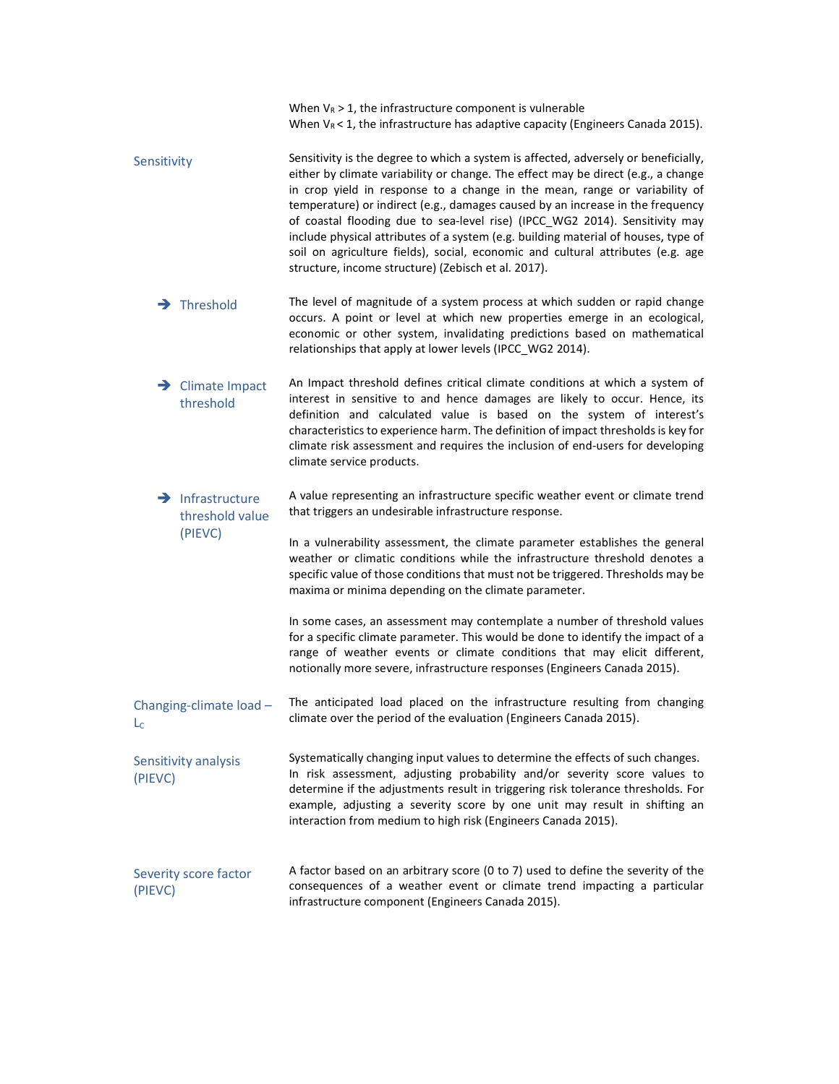|                                                 | When $V_R$ > 1, the infrastructure component is vulnerable<br>When $V_R < 1$ , the infrastructure has adaptive capacity (Engineers Canada 2015).                                                                                                                                                                                                                                                                                                                                                                                                                                                                                                        |  |  |  |
|-------------------------------------------------|---------------------------------------------------------------------------------------------------------------------------------------------------------------------------------------------------------------------------------------------------------------------------------------------------------------------------------------------------------------------------------------------------------------------------------------------------------------------------------------------------------------------------------------------------------------------------------------------------------------------------------------------------------|--|--|--|
| Sensitivity                                     | Sensitivity is the degree to which a system is affected, adversely or beneficially,<br>either by climate variability or change. The effect may be direct (e.g., a change<br>in crop yield in response to a change in the mean, range or variability of<br>temperature) or indirect (e.g., damages caused by an increase in the frequency<br>of coastal flooding due to sea-level rise) (IPCC_WG2 2014). Sensitivity may<br>include physical attributes of a system (e.g. building material of houses, type of<br>soil on agriculture fields), social, economic and cultural attributes (e.g. age<br>structure, income structure) (Zebisch et al. 2017). |  |  |  |
| $\rightarrow$ Threshold                         | The level of magnitude of a system process at which sudden or rapid change<br>occurs. A point or level at which new properties emerge in an ecological,<br>economic or other system, invalidating predictions based on mathematical<br>relationships that apply at lower levels (IPCC_WG2 2014).                                                                                                                                                                                                                                                                                                                                                        |  |  |  |
| $\rightarrow$ Climate Impact<br>threshold       | An Impact threshold defines critical climate conditions at which a system of<br>interest in sensitive to and hence damages are likely to occur. Hence, its<br>definition and calculated value is based on the system of interest's<br>characteristics to experience harm. The definition of impact thresholds is key for<br>climate risk assessment and requires the inclusion of end-users for developing<br>climate service products.                                                                                                                                                                                                                 |  |  |  |
| $\rightarrow$ Infrastructure<br>threshold value | A value representing an infrastructure specific weather event or climate trend<br>that triggers an undesirable infrastructure response.                                                                                                                                                                                                                                                                                                                                                                                                                                                                                                                 |  |  |  |
| (PIEVC)                                         | In a vulnerability assessment, the climate parameter establishes the general<br>weather or climatic conditions while the infrastructure threshold denotes a<br>specific value of those conditions that must not be triggered. Thresholds may be<br>maxima or minima depending on the climate parameter.                                                                                                                                                                                                                                                                                                                                                 |  |  |  |
|                                                 | In some cases, an assessment may contemplate a number of threshold values<br>for a specific climate parameter. This would be done to identify the impact of a<br>range of weather events or climate conditions that may elicit different,<br>notionally more severe, infrastructure responses (Engineers Canada 2015).                                                                                                                                                                                                                                                                                                                                  |  |  |  |
| Changing-climate load -<br>$L_{\rm C}$          | The anticipated load placed on the infrastructure resulting from changing<br>climate over the period of the evaluation (Engineers Canada 2015).                                                                                                                                                                                                                                                                                                                                                                                                                                                                                                         |  |  |  |
| Sensitivity analysis<br>(PIEVC)                 | Systematically changing input values to determine the effects of such changes.<br>In risk assessment, adjusting probability and/or severity score values to<br>determine if the adjustments result in triggering risk tolerance thresholds. For<br>example, adjusting a severity score by one unit may result in shifting an<br>interaction from medium to high risk (Engineers Canada 2015).                                                                                                                                                                                                                                                           |  |  |  |
| Severity score factor<br>(PIEVC)                | A factor based on an arbitrary score (0 to 7) used to define the severity of the<br>consequences of a weather event or climate trend impacting a particular<br>infrastructure component (Engineers Canada 2015).                                                                                                                                                                                                                                                                                                                                                                                                                                        |  |  |  |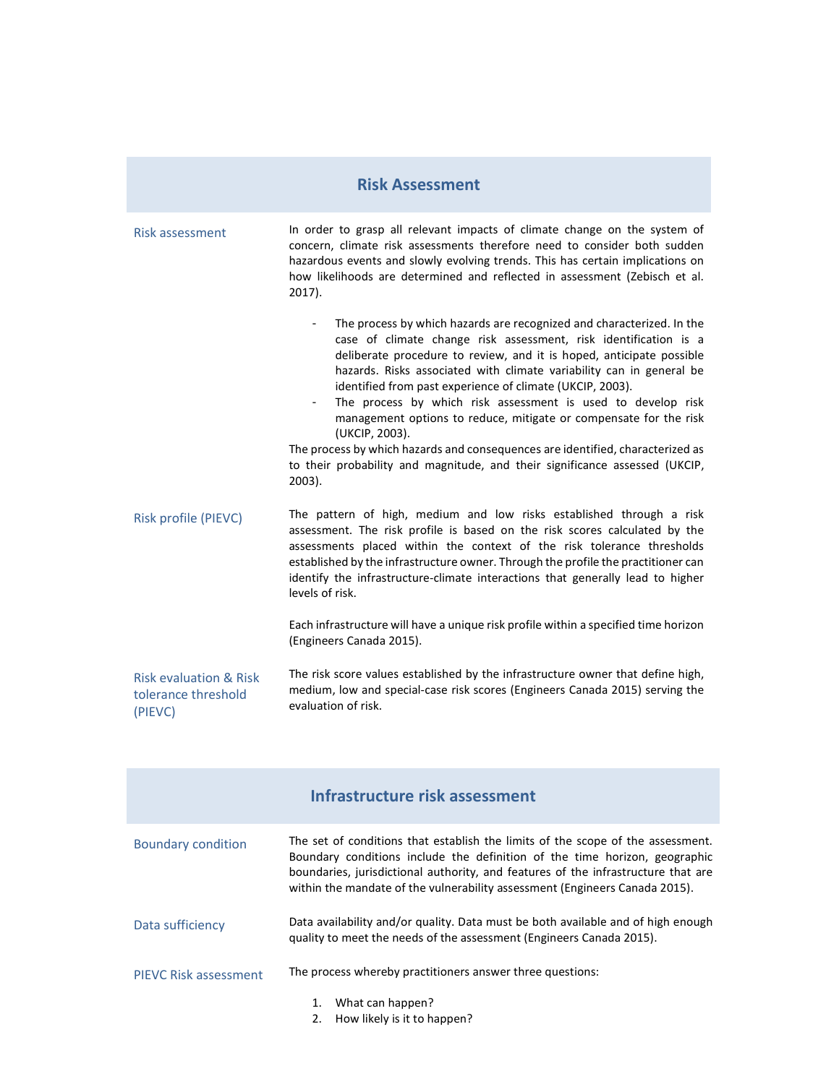### **Risk Assessment**

| Risk assessment                                                     | In order to grasp all relevant impacts of climate change on the system of<br>concern, climate risk assessments therefore need to consider both sudden<br>hazardous events and slowly evolving trends. This has certain implications on<br>how likelihoods are determined and reflected in assessment (Zebisch et al.<br>$2017$ ).                                                                                                                                                                                                                                                                                                                                                           |  |
|---------------------------------------------------------------------|---------------------------------------------------------------------------------------------------------------------------------------------------------------------------------------------------------------------------------------------------------------------------------------------------------------------------------------------------------------------------------------------------------------------------------------------------------------------------------------------------------------------------------------------------------------------------------------------------------------------------------------------------------------------------------------------|--|
|                                                                     | The process by which hazards are recognized and characterized. In the<br>case of climate change risk assessment, risk identification is a<br>deliberate procedure to review, and it is hoped, anticipate possible<br>hazards. Risks associated with climate variability can in general be<br>identified from past experience of climate (UKCIP, 2003).<br>The process by which risk assessment is used to develop risk<br>management options to reduce, mitigate or compensate for the risk<br>(UKCIP, 2003).<br>The process by which hazards and consequences are identified, characterized as<br>to their probability and magnitude, and their significance assessed (UKCIP,<br>$2003$ ). |  |
| Risk profile (PIEVC)                                                | The pattern of high, medium and low risks established through a risk<br>assessment. The risk profile is based on the risk scores calculated by the<br>assessments placed within the context of the risk tolerance thresholds<br>established by the infrastructure owner. Through the profile the practitioner can<br>identify the infrastructure-climate interactions that generally lead to higher<br>levels of risk.                                                                                                                                                                                                                                                                      |  |
|                                                                     | Each infrastructure will have a unique risk profile within a specified time horizon<br>(Engineers Canada 2015).                                                                                                                                                                                                                                                                                                                                                                                                                                                                                                                                                                             |  |
| <b>Risk evaluation &amp; Risk</b><br>tolerance threshold<br>(PIEVC) | The risk score values established by the infrastructure owner that define high,<br>medium, low and special-case risk scores (Engineers Canada 2015) serving the<br>evaluation of risk.                                                                                                                                                                                                                                                                                                                                                                                                                                                                                                      |  |

|                              | Infrastructure risk assessment                                                                                                                                                                                                                                                                                                    |  |  |
|------------------------------|-----------------------------------------------------------------------------------------------------------------------------------------------------------------------------------------------------------------------------------------------------------------------------------------------------------------------------------|--|--|
| <b>Boundary condition</b>    | The set of conditions that establish the limits of the scope of the assessment.<br>Boundary conditions include the definition of the time horizon, geographic<br>boundaries, jurisdictional authority, and features of the infrastructure that are<br>within the mandate of the vulnerability assessment (Engineers Canada 2015). |  |  |
| Data sufficiency             | Data availability and/or quality. Data must be both available and of high enough<br>quality to meet the needs of the assessment (Engineers Canada 2015).                                                                                                                                                                          |  |  |
| <b>PIEVC Risk assessment</b> | The process whereby practitioners answer three questions:                                                                                                                                                                                                                                                                         |  |  |
|                              | What can happen?<br>1.<br>How likely is it to happen?<br>2.                                                                                                                                                                                                                                                                       |  |  |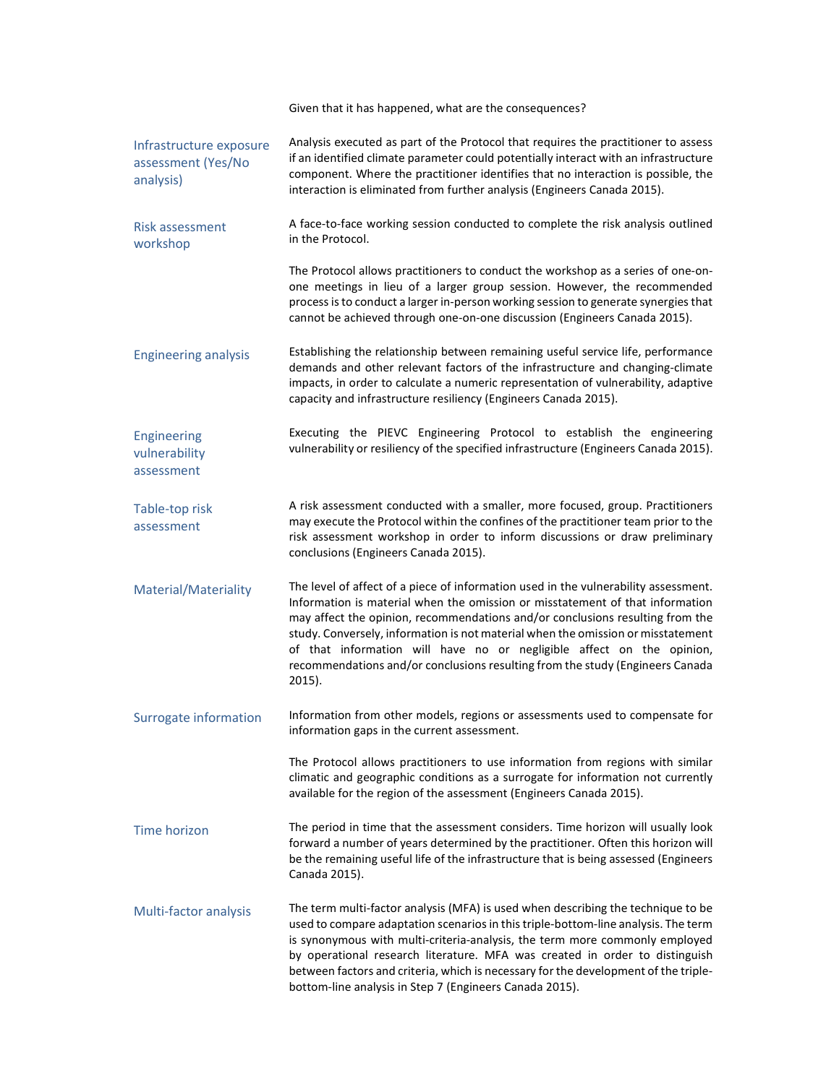|                                                            | Given that it has happened, what are the consequences?                                                                                                                                                                                                                                                                                                                                                                                                                                                           |  |  |  |
|------------------------------------------------------------|------------------------------------------------------------------------------------------------------------------------------------------------------------------------------------------------------------------------------------------------------------------------------------------------------------------------------------------------------------------------------------------------------------------------------------------------------------------------------------------------------------------|--|--|--|
| Infrastructure exposure<br>assessment (Yes/No<br>analysis) | Analysis executed as part of the Protocol that requires the practitioner to assess<br>if an identified climate parameter could potentially interact with an infrastructure<br>component. Where the practitioner identifies that no interaction is possible, the<br>interaction is eliminated from further analysis (Engineers Canada 2015).                                                                                                                                                                      |  |  |  |
| <b>Risk assessment</b><br>workshop                         | A face-to-face working session conducted to complete the risk analysis outlined<br>in the Protocol.                                                                                                                                                                                                                                                                                                                                                                                                              |  |  |  |
|                                                            | The Protocol allows practitioners to conduct the workshop as a series of one-on-<br>one meetings in lieu of a larger group session. However, the recommended<br>process is to conduct a larger in-person working session to generate synergies that<br>cannot be achieved through one-on-one discussion (Engineers Canada 2015).                                                                                                                                                                                 |  |  |  |
| <b>Engineering analysis</b>                                | Establishing the relationship between remaining useful service life, performance<br>demands and other relevant factors of the infrastructure and changing-climate<br>impacts, in order to calculate a numeric representation of vulnerability, adaptive<br>capacity and infrastructure resiliency (Engineers Canada 2015).                                                                                                                                                                                       |  |  |  |
| Engineering<br>vulnerability<br>assessment                 | Executing the PIEVC Engineering Protocol to establish the engineering<br>vulnerability or resiliency of the specified infrastructure (Engineers Canada 2015).                                                                                                                                                                                                                                                                                                                                                    |  |  |  |
| Table-top risk<br>assessment                               | A risk assessment conducted with a smaller, more focused, group. Practitioners<br>may execute the Protocol within the confines of the practitioner team prior to the<br>risk assessment workshop in order to inform discussions or draw preliminary<br>conclusions (Engineers Canada 2015).                                                                                                                                                                                                                      |  |  |  |
| Material/Materiality                                       | The level of affect of a piece of information used in the vulnerability assessment.<br>Information is material when the omission or misstatement of that information<br>may affect the opinion, recommendations and/or conclusions resulting from the<br>study. Conversely, information is not material when the omission or misstatement<br>of that information will have no or negligible affect on the opinion,<br>recommendations and/or conclusions resulting from the study (Engineers Canada<br>$2015$ ). |  |  |  |
| Surrogate information                                      | Information from other models, regions or assessments used to compensate for<br>information gaps in the current assessment.                                                                                                                                                                                                                                                                                                                                                                                      |  |  |  |
|                                                            | The Protocol allows practitioners to use information from regions with similar<br>climatic and geographic conditions as a surrogate for information not currently<br>available for the region of the assessment (Engineers Canada 2015).                                                                                                                                                                                                                                                                         |  |  |  |
| Time horizon                                               | The period in time that the assessment considers. Time horizon will usually look<br>forward a number of years determined by the practitioner. Often this horizon will<br>be the remaining useful life of the infrastructure that is being assessed (Engineers<br>Canada 2015).                                                                                                                                                                                                                                   |  |  |  |
| Multi-factor analysis                                      | The term multi-factor analysis (MFA) is used when describing the technique to be<br>used to compare adaptation scenarios in this triple-bottom-line analysis. The term<br>is synonymous with multi-criteria-analysis, the term more commonly employed<br>by operational research literature. MFA was created in order to distinguish<br>between factors and criteria, which is necessary for the development of the triple-<br>bottom-line analysis in Step 7 (Engineers Canada 2015).                           |  |  |  |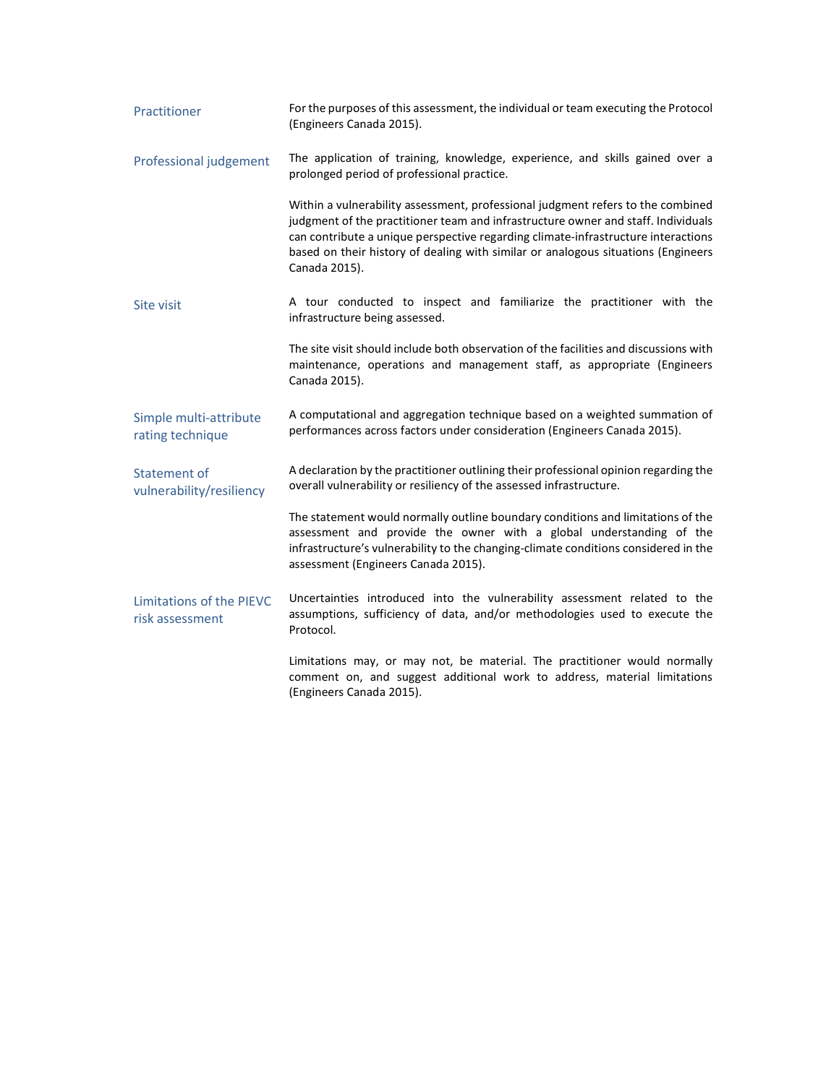| Practitioner                                    | For the purposes of this assessment, the individual or team executing the Protocol<br>(Engineers Canada 2015).                                                                                                                                                                                                                                                  |  |  |
|-------------------------------------------------|-----------------------------------------------------------------------------------------------------------------------------------------------------------------------------------------------------------------------------------------------------------------------------------------------------------------------------------------------------------------|--|--|
| Professional judgement                          | The application of training, knowledge, experience, and skills gained over a<br>prolonged period of professional practice.                                                                                                                                                                                                                                      |  |  |
|                                                 | Within a vulnerability assessment, professional judgment refers to the combined<br>judgment of the practitioner team and infrastructure owner and staff. Individuals<br>can contribute a unique perspective regarding climate-infrastructure interactions<br>based on their history of dealing with similar or analogous situations (Engineers<br>Canada 2015). |  |  |
| Site visit                                      | A tour conducted to inspect and familiarize the practitioner with the<br>infrastructure being assessed.                                                                                                                                                                                                                                                         |  |  |
|                                                 | The site visit should include both observation of the facilities and discussions with<br>maintenance, operations and management staff, as appropriate (Engineers<br>Canada 2015).                                                                                                                                                                               |  |  |
| Simple multi-attribute<br>rating technique      | A computational and aggregation technique based on a weighted summation of<br>performances across factors under consideration (Engineers Canada 2015).                                                                                                                                                                                                          |  |  |
| <b>Statement of</b><br>vulnerability/resiliency | A declaration by the practitioner outlining their professional opinion regarding the<br>overall vulnerability or resiliency of the assessed infrastructure.                                                                                                                                                                                                     |  |  |
|                                                 | The statement would normally outline boundary conditions and limitations of the<br>assessment and provide the owner with a global understanding of the<br>infrastructure's vulnerability to the changing-climate conditions considered in the<br>assessment (Engineers Canada 2015).                                                                            |  |  |
| Limitations of the PIEVC<br>risk assessment     | Uncertainties introduced into the vulnerability assessment related to the<br>assumptions, sufficiency of data, and/or methodologies used to execute the<br>Protocol.                                                                                                                                                                                            |  |  |
|                                                 | Limitations may, or may not, be material. The practitioner would normally<br>comment on, and suggest additional work to address, material limitations<br>(Engineers Canada 2015).                                                                                                                                                                               |  |  |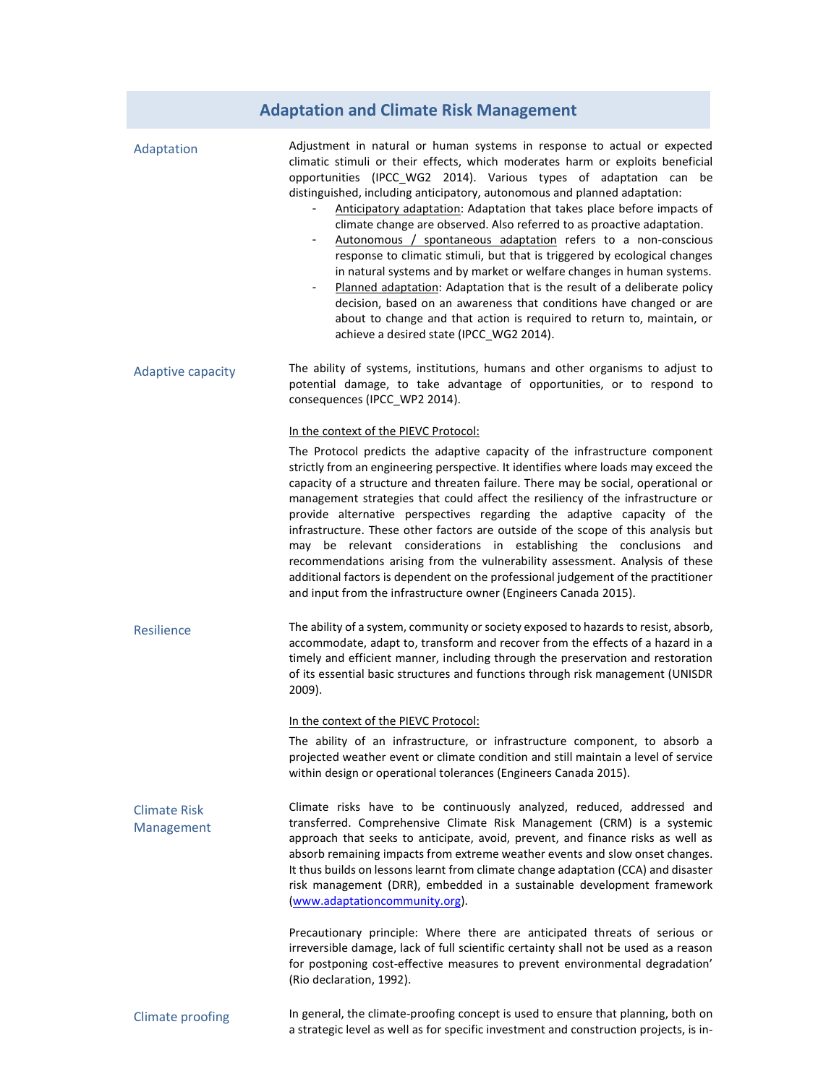# **Adaptation and Climate Risk Management**

| Adaptation                        | Adjustment in natural or human systems in response to actual or expected<br>climatic stimuli or their effects, which moderates harm or exploits beneficial<br>opportunities (IPCC_WG2 2014). Various types of adaptation can be<br>distinguished, including anticipatory, autonomous and planned adaptation:<br>Anticipatory adaptation: Adaptation that takes place before impacts of<br>climate change are observed. Also referred to as proactive adaptation.<br>Autonomous / spontaneous adaptation refers to a non-conscious<br>response to climatic stimuli, but that is triggered by ecological changes<br>in natural systems and by market or welfare changes in human systems.<br>Planned adaptation: Adaptation that is the result of a deliberate policy<br>decision, based on an awareness that conditions have changed or are<br>about to change and that action is required to return to, maintain, or<br>achieve a desired state (IPCC WG2 2014). |
|-----------------------------------|------------------------------------------------------------------------------------------------------------------------------------------------------------------------------------------------------------------------------------------------------------------------------------------------------------------------------------------------------------------------------------------------------------------------------------------------------------------------------------------------------------------------------------------------------------------------------------------------------------------------------------------------------------------------------------------------------------------------------------------------------------------------------------------------------------------------------------------------------------------------------------------------------------------------------------------------------------------|
| Adaptive capacity                 | The ability of systems, institutions, humans and other organisms to adjust to<br>potential damage, to take advantage of opportunities, or to respond to<br>consequences (IPCC_WP2 2014).                                                                                                                                                                                                                                                                                                                                                                                                                                                                                                                                                                                                                                                                                                                                                                         |
|                                   | In the context of the PIEVC Protocol:                                                                                                                                                                                                                                                                                                                                                                                                                                                                                                                                                                                                                                                                                                                                                                                                                                                                                                                            |
|                                   | The Protocol predicts the adaptive capacity of the infrastructure component<br>strictly from an engineering perspective. It identifies where loads may exceed the<br>capacity of a structure and threaten failure. There may be social, operational or<br>management strategies that could affect the resiliency of the infrastructure or<br>provide alternative perspectives regarding the adaptive capacity of the<br>infrastructure. These other factors are outside of the scope of this analysis but<br>may be relevant considerations in establishing the conclusions and<br>recommendations arising from the vulnerability assessment. Analysis of these<br>additional factors is dependent on the professional judgement of the practitioner<br>and input from the infrastructure owner (Engineers Canada 2015).                                                                                                                                         |
| Resilience                        | The ability of a system, community or society exposed to hazards to resist, absorb,<br>accommodate, adapt to, transform and recover from the effects of a hazard in a<br>timely and efficient manner, including through the preservation and restoration<br>of its essential basic structures and functions through risk management (UNISDR<br>$2009$ ).                                                                                                                                                                                                                                                                                                                                                                                                                                                                                                                                                                                                         |
|                                   | In the context of the PIEVC Protocol:                                                                                                                                                                                                                                                                                                                                                                                                                                                                                                                                                                                                                                                                                                                                                                                                                                                                                                                            |
|                                   | The ability of an infrastructure, or infrastructure component, to absorb a<br>projected weather event or climate condition and still maintain a level of service<br>within design or operational tolerances (Engineers Canada 2015).                                                                                                                                                                                                                                                                                                                                                                                                                                                                                                                                                                                                                                                                                                                             |
| <b>Climate Risk</b><br>Management | Climate risks have to be continuously analyzed, reduced, addressed and<br>transferred. Comprehensive Climate Risk Management (CRM) is a systemic<br>approach that seeks to anticipate, avoid, prevent, and finance risks as well as<br>absorb remaining impacts from extreme weather events and slow onset changes.<br>It thus builds on lessons learnt from climate change adaptation (CCA) and disaster<br>risk management (DRR), embedded in a sustainable development framework<br>(www.adaptationcommunity.org).                                                                                                                                                                                                                                                                                                                                                                                                                                            |
|                                   | Precautionary principle: Where there are anticipated threats of serious or<br>irreversible damage, lack of full scientific certainty shall not be used as a reason<br>for postponing cost-effective measures to prevent environmental degradation'<br>(Rio declaration, 1992).                                                                                                                                                                                                                                                                                                                                                                                                                                                                                                                                                                                                                                                                                   |
| <b>Climate proofing</b>           | In general, the climate-proofing concept is used to ensure that planning, both on<br>a strategic level as well as for specific investment and construction projects, is in-                                                                                                                                                                                                                                                                                                                                                                                                                                                                                                                                                                                                                                                                                                                                                                                      |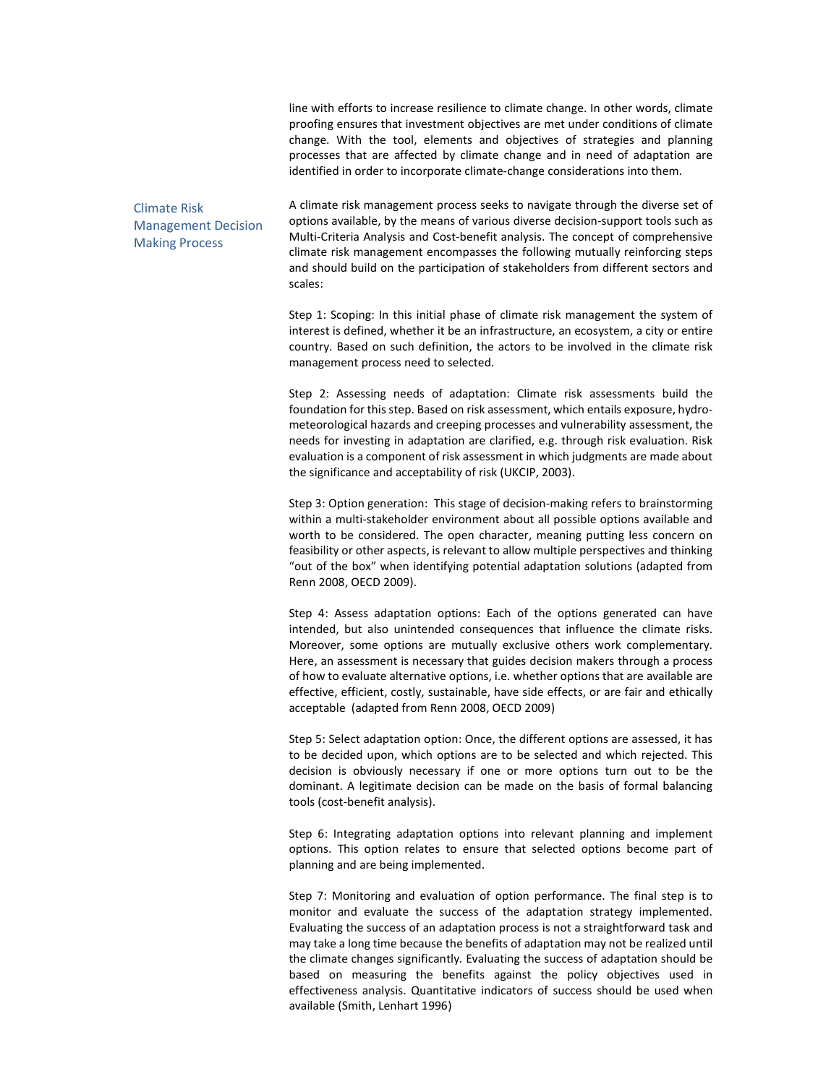line with efforts to increase resilience to climate change. In other words, climate proofing ensures that investment objectives are met under conditions of climate change. With the tool, elements and objectives of strategies and planning processes that are affected by climate change and in need of adaptation are identified in order to incorporate climate-change considerations into them.

### Climate Risk Management Decision Making Process

A climate risk management process seeks to navigate through the diverse set of options available, by the means of various diverse decision-support tools such as Multi-Criteria Analysis and Cost-benefit analysis. The concept of comprehensive climate risk management encompasses the following mutually reinforcing steps and should build on the participation of stakeholders from different sectors and scales:

Step 1: Scoping: In this initial phase of climate risk management the system of interest is defined, whether it be an infrastructure, an ecosystem, a city or entire country. Based on such definition, the actors to be involved in the climate risk management process need to selected.

Step 2: Assessing needs of adaptation: Climate risk assessments build the foundation for this step. Based on risk assessment, which entails exposure, hydrometeorological hazards and creeping processes and vulnerability assessment, the needs for investing in adaptation are clarified, e.g. through risk evaluation. Risk evaluation is a component of risk assessment in which judgments are made about the significance and acceptability of risk (UKCIP, 2003).

Step 3: Option generation: This stage of decision-making refers to brainstorming within a multi-stakeholder environment about all possible options available and worth to be considered. The open character, meaning putting less concern on feasibility or other aspects, is relevant to allow multiple perspectives and thinking "out of the box" when identifying potential adaptation solutions (adapted from Renn 2008, OECD 2009).

Step 4: Assess adaptation options: Each of the options generated can have intended, but also unintended consequences that influence the climate risks. Moreover, some options are mutually exclusive others work complementary. Here, an assessment is necessary that guides decision makers through a process of how to evaluate alternative options, i.e. whether options that are available are effective, efficient, costly, sustainable, have side effects, or are fair and ethically acceptable (adapted from Renn 2008, OECD 2009)

Step 5: Select adaptation option: Once, the different options are assessed, it has to be decided upon, which options are to be selected and which rejected. This decision is obviously necessary if one or more options turn out to be the dominant. A legitimate decision can be made on the basis of formal balancing tools (cost-benefit analysis).

Step 6: Integrating adaptation options into relevant planning and implement options. This option relates to ensure that selected options become part of planning and are being implemented.

Step 7: Monitoring and evaluation of option performance. The final step is to monitor and evaluate the success of the adaptation strategy implemented. Evaluating the success of an adaptation process is not a straightforward task and may take a long time because the benefits of adaptation may not be realized until the climate changes significantly. Evaluating the success of adaptation should be based on measuring the benefits against the policy objectives used in effectiveness analysis. Quantitative indicators of success should be used when available (Smith, Lenhart 1996)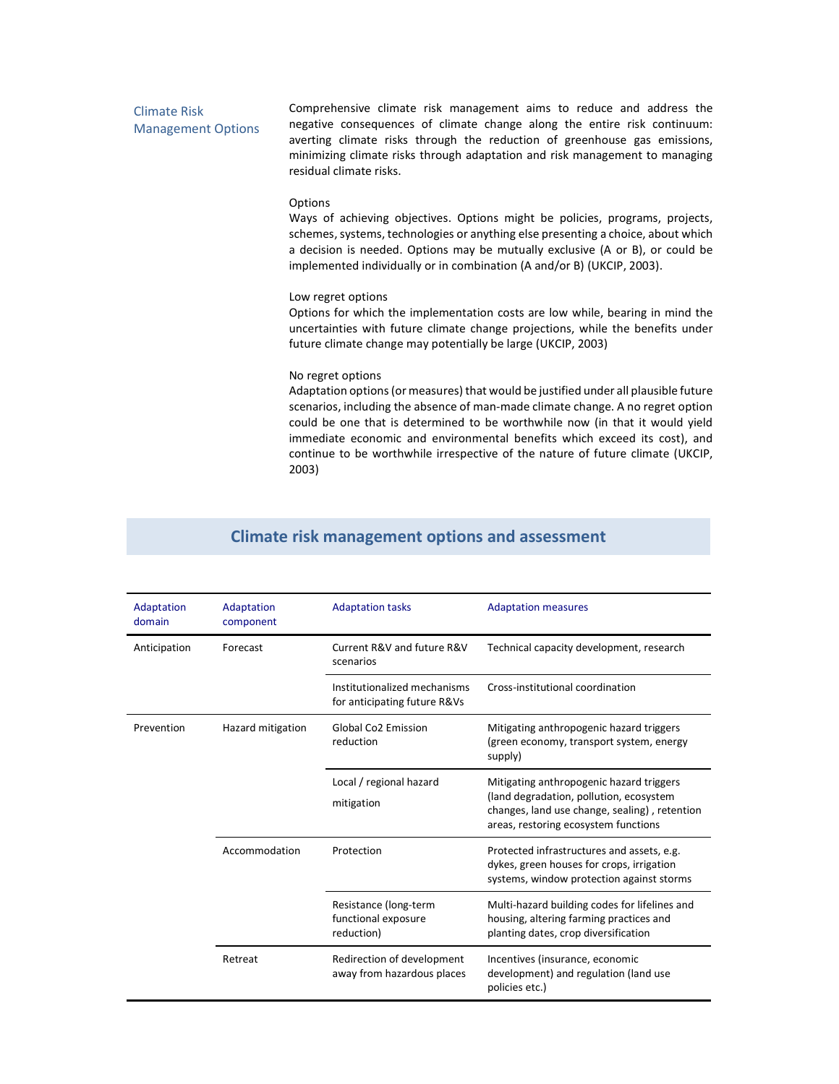### Climate Risk Management Options

Comprehensive climate risk management aims to reduce and address the negative consequences of climate change along the entire risk continuum: averting climate risks through the reduction of greenhouse gas emissions, minimizing climate risks through adaptation and risk management to managing residual climate risks.

### Options

Ways of achieving objectives. Options might be policies, programs, projects, schemes, systems, technologies or anything else presenting a choice, about which a decision is needed. Options may be mutually exclusive (A or B), or could be implemented individually or in combination (A and/or B) (UKCIP, 2003).

#### Low regret options

Options for which the implementation costs are low while, bearing in mind the uncertainties with future climate change projections, while the benefits under future climate change may potentially be large (UKCIP, 2003)

### No regret options

Adaptation options (or measures) that would be justified under all plausible future scenarios, including the absence of man-made climate change. A no regret option could be one that is determined to be worthwhile now (in that it would yield immediate economic and environmental benefits which exceed its cost), and continue to be worthwhile irrespective of the nature of future climate (UKCIP, 2003)

| Adaptation<br>domain | Adaptation<br>component | <b>Adaptation tasks</b>                                      | <b>Adaptation measures</b>                                                                                                                                                   |
|----------------------|-------------------------|--------------------------------------------------------------|------------------------------------------------------------------------------------------------------------------------------------------------------------------------------|
| Anticipation         | Forecast                | Current R&V and future R&V<br>scenarios                      | Technical capacity development, research                                                                                                                                     |
|                      |                         | Institutionalized mechanisms<br>for anticipating future R&Vs | Cross-institutional coordination                                                                                                                                             |
| Prevention           | Hazard mitigation       | <b>Global Co2 Emission</b><br>reduction                      | Mitigating anthropogenic hazard triggers<br>(green economy, transport system, energy<br>supply)                                                                              |
|                      |                         | Local / regional hazard<br>mitigation                        | Mitigating anthropogenic hazard triggers<br>(land degradation, pollution, ecosystem<br>changes, land use change, sealing), retention<br>areas, restoring ecosystem functions |
|                      | Accommodation           | Protection                                                   | Protected infrastructures and assets, e.g.<br>dykes, green houses for crops, irrigation<br>systems, window protection against storms                                         |
|                      |                         | Resistance (long-term<br>functional exposure<br>reduction)   | Multi-hazard building codes for lifelines and<br>housing, altering farming practices and<br>planting dates, crop diversification                                             |
|                      | Retreat                 | Redirection of development<br>away from hazardous places     | Incentives (insurance, economic<br>development) and regulation (land use<br>policies etc.)                                                                                   |

### **Climate risk management options and assessment**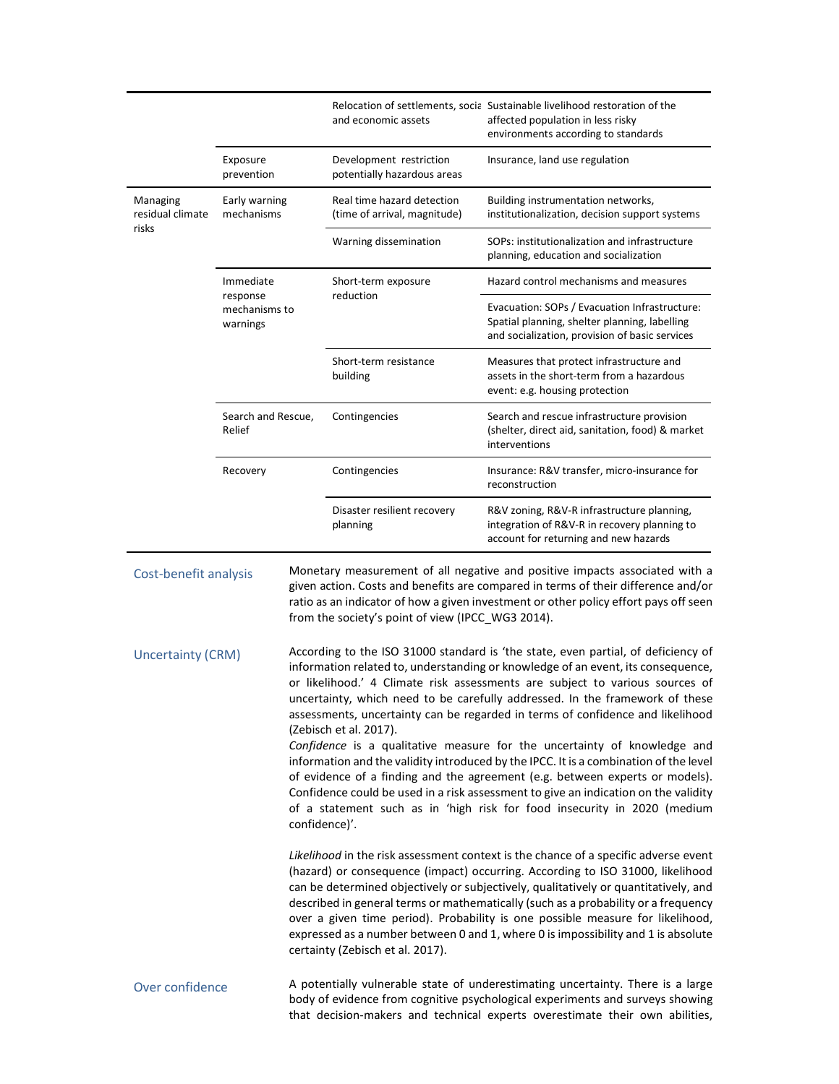|                                             |                                                    |  | and economic assets                                                                                                                                                                                                                                                                                                                                                                                                                                                                                                                                           | Relocation of settlements, social Sustainable livelihood restoration of the<br>affected population in less risky<br>environments according to standards                                                                                                                                                                                                                                                                                                                                                                                                                                                                                                                                                                                                             |  |
|---------------------------------------------|----------------------------------------------------|--|---------------------------------------------------------------------------------------------------------------------------------------------------------------------------------------------------------------------------------------------------------------------------------------------------------------------------------------------------------------------------------------------------------------------------------------------------------------------------------------------------------------------------------------------------------------|---------------------------------------------------------------------------------------------------------------------------------------------------------------------------------------------------------------------------------------------------------------------------------------------------------------------------------------------------------------------------------------------------------------------------------------------------------------------------------------------------------------------------------------------------------------------------------------------------------------------------------------------------------------------------------------------------------------------------------------------------------------------|--|
|                                             | Exposure<br>prevention                             |  | Development restriction<br>potentially hazardous areas                                                                                                                                                                                                                                                                                                                                                                                                                                                                                                        | Insurance, land use regulation                                                                                                                                                                                                                                                                                                                                                                                                                                                                                                                                                                                                                                                                                                                                      |  |
| Managing<br>residual climate                | Early warning<br>mechanisms                        |  | Real time hazard detection<br>(time of arrival, magnitude)                                                                                                                                                                                                                                                                                                                                                                                                                                                                                                    | Building instrumentation networks,<br>institutionalization, decision support systems                                                                                                                                                                                                                                                                                                                                                                                                                                                                                                                                                                                                                                                                                |  |
| risks                                       |                                                    |  | Warning dissemination                                                                                                                                                                                                                                                                                                                                                                                                                                                                                                                                         | SOPs: institutionalization and infrastructure<br>planning, education and socialization                                                                                                                                                                                                                                                                                                                                                                                                                                                                                                                                                                                                                                                                              |  |
|                                             | Immediate<br>response<br>mechanisms to<br>warnings |  | Short-term exposure<br>reduction                                                                                                                                                                                                                                                                                                                                                                                                                                                                                                                              | Hazard control mechanisms and measures                                                                                                                                                                                                                                                                                                                                                                                                                                                                                                                                                                                                                                                                                                                              |  |
|                                             |                                                    |  |                                                                                                                                                                                                                                                                                                                                                                                                                                                                                                                                                               | Evacuation: SOPs / Evacuation Infrastructure:<br>Spatial planning, shelter planning, labelling<br>and socialization, provision of basic services                                                                                                                                                                                                                                                                                                                                                                                                                                                                                                                                                                                                                    |  |
|                                             |                                                    |  | Short-term resistance<br>building                                                                                                                                                                                                                                                                                                                                                                                                                                                                                                                             | Measures that protect infrastructure and<br>assets in the short-term from a hazardous<br>event: e.g. housing protection                                                                                                                                                                                                                                                                                                                                                                                                                                                                                                                                                                                                                                             |  |
|                                             | Search and Rescue,<br>Relief                       |  | Contingencies                                                                                                                                                                                                                                                                                                                                                                                                                                                                                                                                                 | Search and rescue infrastructure provision<br>(shelter, direct aid, sanitation, food) & market<br>interventions                                                                                                                                                                                                                                                                                                                                                                                                                                                                                                                                                                                                                                                     |  |
|                                             | Recovery                                           |  | Contingencies                                                                                                                                                                                                                                                                                                                                                                                                                                                                                                                                                 | Insurance: R&V transfer, micro-insurance for<br>reconstruction                                                                                                                                                                                                                                                                                                                                                                                                                                                                                                                                                                                                                                                                                                      |  |
|                                             |                                                    |  | Disaster resilient recovery<br>planning                                                                                                                                                                                                                                                                                                                                                                                                                                                                                                                       | R&V zoning, R&V-R infrastructure planning,<br>integration of R&V-R in recovery planning to<br>account for returning and new hazards                                                                                                                                                                                                                                                                                                                                                                                                                                                                                                                                                                                                                                 |  |
| Cost-benefit analysis                       |                                                    |  | Monetary measurement of all negative and positive impacts associated with a<br>given action. Costs and benefits are compared in terms of their difference and/or<br>ratio as an indicator of how a given investment or other policy effort pays off seen<br>from the society's point of view (IPCC_WG3 2014).                                                                                                                                                                                                                                                 |                                                                                                                                                                                                                                                                                                                                                                                                                                                                                                                                                                                                                                                                                                                                                                     |  |
| <b>Uncertainty (CRM)</b><br>Over confidence |                                                    |  | (Zebisch et al. 2017).                                                                                                                                                                                                                                                                                                                                                                                                                                                                                                                                        | According to the ISO 31000 standard is 'the state, even partial, of deficiency of<br>information related to, understanding or knowledge of an event, its consequence,<br>or likelihood.' 4 Climate risk assessments are subject to various sources of<br>uncertainty, which need to be carefully addressed. In the framework of these<br>assessments, uncertainty can be regarded in terms of confidence and likelihood<br>Confidence is a qualitative measure for the uncertainty of knowledge and<br>information and the validity introduced by the IPCC. It is a combination of the level<br>of evidence of a finding and the agreement (e.g. between experts or models).<br>Confidence could be used in a risk assessment to give an indication on the validity |  |
|                                             |                                                    |  | of a statement such as in 'high risk for food insecurity in 2020 (medium<br>confidence)'.                                                                                                                                                                                                                                                                                                                                                                                                                                                                     |                                                                                                                                                                                                                                                                                                                                                                                                                                                                                                                                                                                                                                                                                                                                                                     |  |
|                                             |                                                    |  | Likelihood in the risk assessment context is the chance of a specific adverse event<br>(hazard) or consequence (impact) occurring. According to ISO 31000, likelihood<br>can be determined objectively or subjectively, qualitatively or quantitatively, and<br>described in general terms or mathematically (such as a probability or a frequency<br>over a given time period). Probability is one possible measure for likelihood,<br>expressed as a number between 0 and 1, where 0 is impossibility and 1 is absolute<br>certainty (Zebisch et al. 2017). |                                                                                                                                                                                                                                                                                                                                                                                                                                                                                                                                                                                                                                                                                                                                                                     |  |
|                                             |                                                    |  | A potentially vulnerable state of underestimating uncertainty. There is a large<br>body of evidence from cognitive psychological experiments and surveys showing<br>that decision-makers and technical experts overestimate their own abilities,                                                                                                                                                                                                                                                                                                              |                                                                                                                                                                                                                                                                                                                                                                                                                                                                                                                                                                                                                                                                                                                                                                     |  |